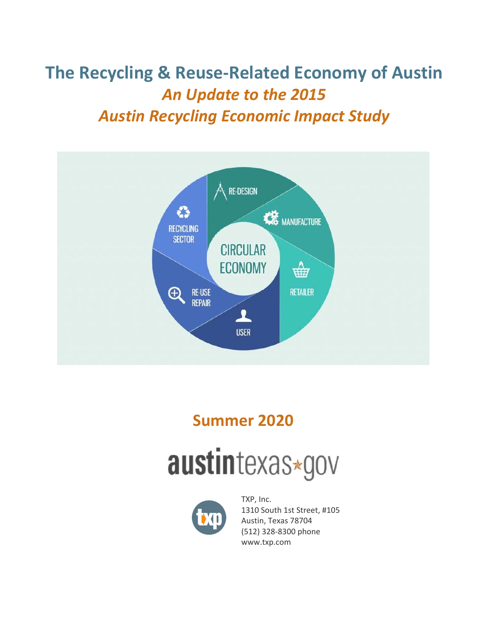**The Recycling & Reuse‐Related Economy of Austin**  *An Update to the 2015 Austin Recycling Economic Impact Study* 



# **Summer 2020**





TXP, Inc. 1310 South 1st Street, #105 Austin, Texas 78704 (512) 328‐8300 phone [www.txp.com](http://www.txp.com)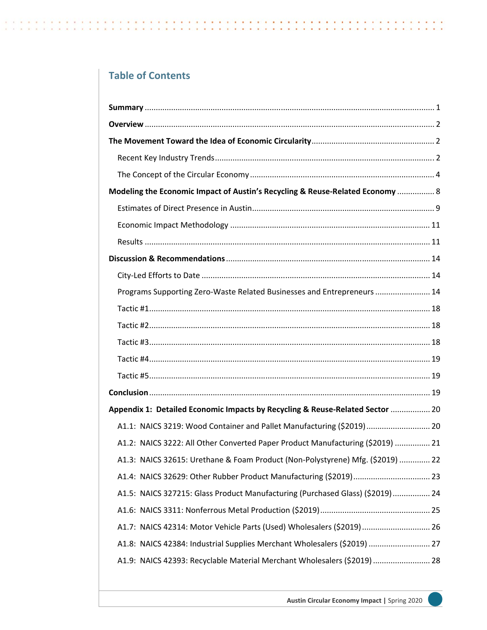## **Table of Contents**

| Modeling the Economic Impact of Austin's Recycling & Reuse-Related Economy  8  |
|--------------------------------------------------------------------------------|
|                                                                                |
|                                                                                |
|                                                                                |
|                                                                                |
|                                                                                |
| Programs Supporting Zero-Waste Related Businesses and Entrepreneurs  14        |
|                                                                                |
|                                                                                |
|                                                                                |
|                                                                                |
|                                                                                |
|                                                                                |
| Appendix 1: Detailed Economic Impacts by Recycling & Reuse-Related Sector  20  |
| A1.1: NAICS 3219: Wood Container and Pallet Manufacturing (\$2019) 20          |
| A1.2: NAICS 3222: All Other Converted Paper Product Manufacturing (\$2019)  21 |
| A1.3: NAICS 32615: Urethane & Foam Product (Non-Polystyrene) Mfg. (\$2019)  22 |
|                                                                                |
| A1.5: NAICS 327215: Glass Product Manufacturing (Purchased Glass) (\$2019)  24 |
|                                                                                |
| A1.7: NAICS 42314: Motor Vehicle Parts (Used) Wholesalers (\$2019)  26         |
| A1.8: NAICS 42384: Industrial Supplies Merchant Wholesalers (\$2019)  27       |
| A1.9: NAICS 42393: Recyclable Material Merchant Wholesalers (\$2019)  28       |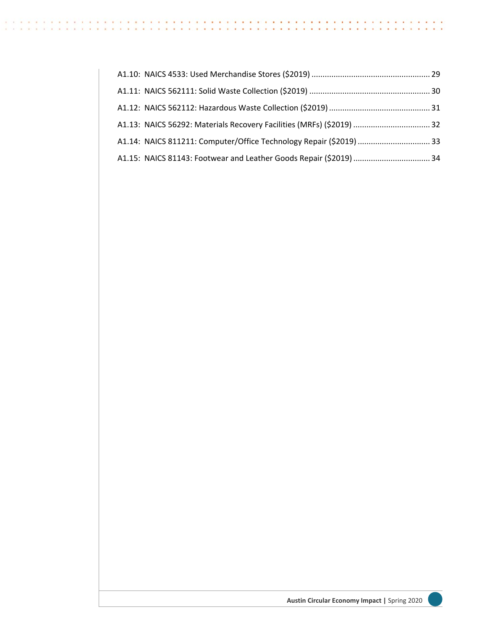| A1.13: NAICS 56292: Materials Recovery Facilities (MRFs) (\$2019)  32 |  |
|-----------------------------------------------------------------------|--|
|                                                                       |  |
|                                                                       |  |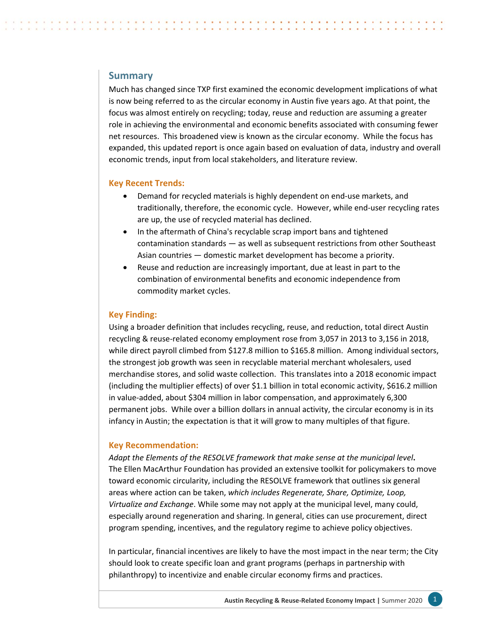## <span id="page-3-0"></span>**Summary**

Much has changed since TXP first examined the economic development implications of what is now being referred to as the circular economy in Austin five years ago. At that point, the focus was almost entirely on recycling; today, reuse and reduction are assuming a greater role in achieving the environmental and economic benefits associated with consuming fewer net resources. This broadened view is known as the circular economy. While the focus has expanded, this updated report is once again based on evaluation of data, industry and overall economic trends, input from local stakeholders, and literature review.

#### **Key Recent Trends:**

- Demand for recycled materials is highly dependent on end-use markets, and traditionally, therefore, the economic cycle. However, while end‐user recycling rates are up, the use of recycled material has declined.
- In the aftermath of China's recyclable scrap import bans and tightened contamination standards — as well as subsequent restrictions from other Southeast Asian countries — domestic market development has become a priority.
- Reuse and reduction are increasingly important, due at least in part to the combination of environmental benefits and economic independence from commodity market cycles.

#### **Key Finding:**

Using a broader definition that includes recycling, reuse, and reduction, total direct Austin recycling & reuse‐related economy employment rose from 3,057 in 2013 to 3,156 in 2018, while direct payroll climbed from \$127.8 million to \$165.8 million. Among individual sectors, the strongest job growth was seen in recyclable material merchant wholesalers, used merchandise stores, and solid waste collection. This translates into a 2018 economic impact (including the multiplier effects) of over \$1.1 billion in total economic activity, \$616.2 million in value‐added, about \$304 million in labor compensation, and approximately 6,300 permanent jobs. While over a billion dollars in annual activity, the circular economy is in its infancy in Austin; the expectation is that it will grow to many multiples of that figure.

#### **Key Recommendation:**

*Adapt the Elements of the RESOLVE framework that make sense at the municipal level***.**  The Ellen MacArthur Foundation has provided an extensive toolkit for policymakers to move toward economic circularity, including the RESOLVE framework that outlines six general areas where action can be taken, *which includes Regenerate, Share, Optimize, Loop, Virtualize and Exchange*. While some may not apply at the municipal level, many could, especially around regeneration and sharing. In general, cities can use procurement, direct program spending, incentives, and the regulatory regime to achieve policy objectives.

In particular, financial incentives are likely to have the most impact in the near term; the City should look to create specific loan and grant programs (perhaps in partnership with philanthropy) to incentivize and enable circular economy firms and practices.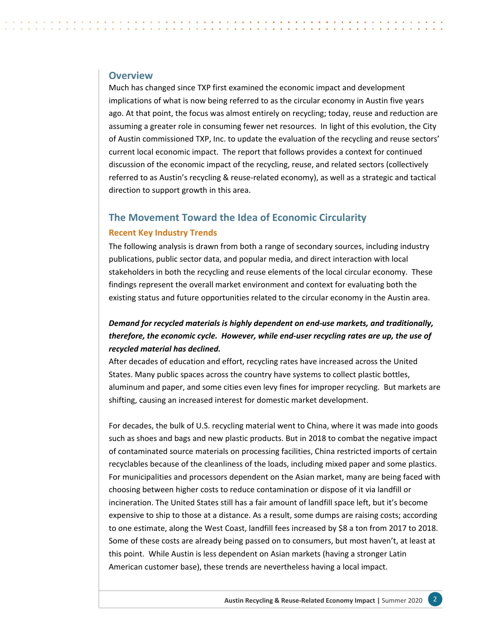## <span id="page-4-0"></span>**Overview**

Much has changed since TXP first examined the economic impact and development implications of what is now being referred to as the circular economy in Austin five years ago. At that point, the focus was almost entirely on recycling; today, reuse and reduction are assuming a greater role in consuming fewer net resources. In light of this evolution, the City of Austin commissioned TXP, Inc. to update the evaluation of the recycling and reuse sectors' current local economic impact. The report that follows provides a context for continued discussion of the economic impact of the recycling, reuse, and related sectors (collectively referred to as Austin's recycling & reuse-related economy), as well as a strategic and tactical direction to support growth in this area.

## **The Movement Toward the Idea of Economic Circularity**

#### **Recent Key Industry Trends**

The following analysis is drawn from both a range of secondary sources, including industry publications, public sector data, and popular media, and direct interaction with local stakeholders in both the recycling and reuse elements of the local circular economy. These findings represent the overall market environment and context for evaluating both the existing status and future opportunities related to the circular economy in the Austin area.

## *Demand for recycled materials is highly dependent on end‐use markets, and traditionally, therefore, the economic cycle. However, while end‐user recycling rates are up, the use of recycled material has declined.*

After decades of education and effort, recycling rates have increased across the United States. Many public spaces across the country have systems to collect plastic bottles, aluminum and paper, and some cities even levy fines for improper recycling. But markets are shifting, causing an increased interest for domestic market development.

For decades, the bulk of U.S. recycling material went to China, where it was made into goods such as shoes and bags and new plastic products. But in 2018 to combat the negative impact of contaminated source materials on processing facilities, China restricted imports of certain recyclables because of the cleanliness of the loads, including mixed paper and some plastics. For municipalities and processors dependent on the Asian market, many are being faced with choosing between higher costs to reduce contamination or dispose of it via landfill or incineration. The United States still has a fair amount of landfill space left, but it's become expensive to ship to those at a distance. As a result, some dumps are raising costs; according to one estimate, along the West Coast, landfill fees increased by \$8 a ton from 2017 to 2018. Some of these costs are already being passed on to consumers, but most haven't, at least at this point. While Austin is less dependent on Asian markets (having a stronger Latin American customer base), these trends are nevertheless having a local impact.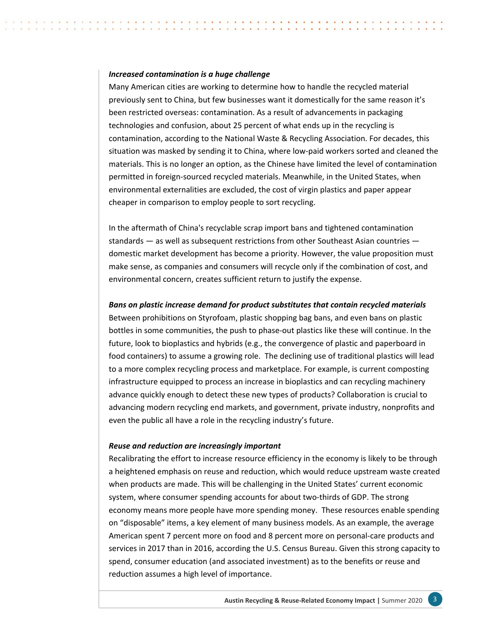#### *Increased contamination is a huge challenge*

Many American cities are working to determine how to handle the recycled material previously sent to China, but few businesses want it domestically for the same reason it's been restricted overseas: contamination. As a result of advancements in packaging technologies and confusion, about 25 percent of what ends up in the recycling is contamination, according to the National Waste & Recycling Association. For decades, this situation was masked by sending it to China, where low-paid workers sorted and cleaned the materials. This is no longer an option, as the Chinese have limited the level of contamination permitted in foreign‐sourced recycled materials. Meanwhile, in the United States, when environmental externalities are excluded, the cost of virgin plastics and paper appear cheaper in comparison to employ people to sort recycling.

In the aftermath of China's recyclable scrap import bans and tightened contamination standards — as well as subsequent restrictions from other Southeast Asian countries domestic market development has become a priority. However, the value proposition must make sense, as companies and consumers will recycle only if the combination of cost, and environmental concern, creates sufficient return to justify the expense.

#### *Bans on plastic increase demand for product substitutes that contain recycled materials*

Between prohibitions on Styrofoam, plastic shopping bag bans, and even bans on plastic bottles in some communities, the push to phase‐out plastics like these will continue. In the future, look to bioplastics and hybrids (e.g., the convergence of plastic and paperboard in food containers) to assume a growing role. The declining use of traditional plastics will lead to a more complex recycling process and marketplace. For example, is current composting infrastructure equipped to process an increase in bioplastics and can recycling machinery advance quickly enough to detect these new types of products? Collaboration is crucial to advancing modern recycling end markets, and government, private industry, nonprofits and even the public all have a role in the recycling industry's future.

#### *Reuse and reduction are increasingly important*

Recalibrating the effort to increase resource efficiency in the economy is likely to be through a heightened emphasis on reuse and reduction, which would reduce upstream waste created when products are made. This will be challenging in the United States' current economic system, where consumer spending accounts for about two-thirds of GDP. The strong economy means more people have more spending money. These resources enable spending on "disposable" items, a key element of many business models. As an example, the average American spent 7 percent more on food and 8 percent more on personal‐care products and services in 2017 than in 2016, according the U.S. Census Bureau. Given this strong capacity to spend, consumer education (and associated investment) as to the benefits or reuse and reduction assumes a high level of importance.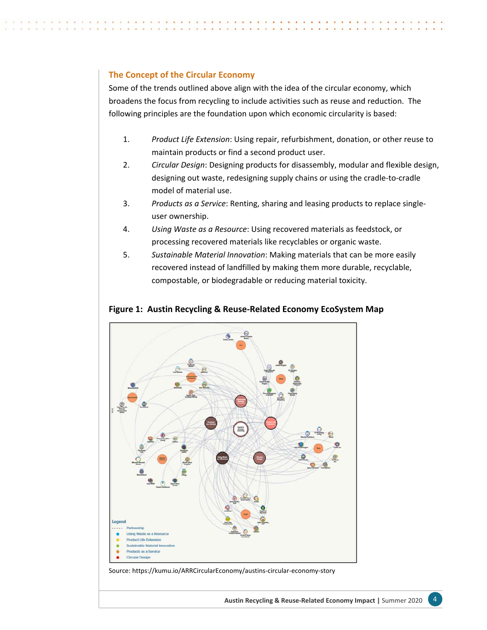## **The Concept of the Circular Economy**

Some of the trends outlined above align with the idea of the circular economy, which broadens the focus from recycling to include activities such as reuse and reduction. The following principles are the foundation upon which economic circularity is based:

- 1. *Product Life Extension*: Using repair, refurbishment, donation, or other reuse to maintain products or find a second product user.
- 2. *Circular Design*: Designing products for disassembly, modular and flexible design, designing out waste, redesigning supply chains or using the cradle‐to‐cradle model of material use.
- 3. *Products as a Service*: Renting, sharing and leasing products to replace single‐ user ownership.
- 4. *Using Waste as a Resource*: Using recovered materials as feedstock, or processing recovered materials like recyclables or organic waste.
- 5. *Sustainable Material Innovation*: Making materials that can be more easily recovered instead of landfilled by making them more durable, recyclable, compostable, or biodegradable or reducing material toxicity.



## **Figure 1: Austin Recycling & Reuse‐Related Economy EcoSystem Map**

Source: [https://kumu.io/ARRCircularEconomy/austins‐circular‐economy‐story](https://kumu.io/ARRCircularEconomy/austins%E2%80%90circular%E2%80%90economy%E2%80%90story)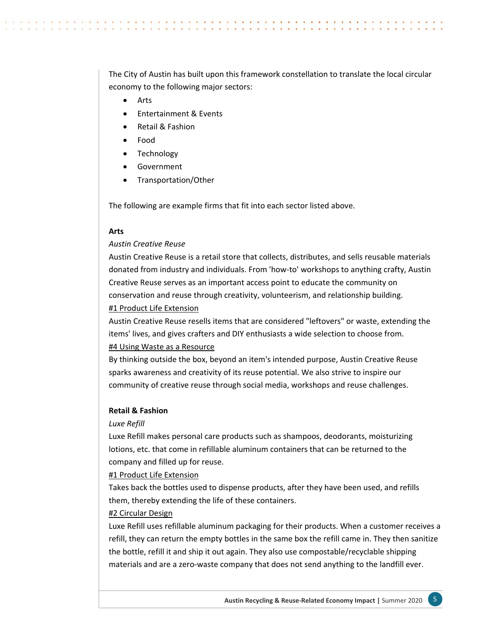The City of Austin has built upon this framework constellation to translate the local circular economy to the following major sectors:

- Arts
- **•** Entertainment & Events
- Retail & Fashion
- Food
- Technology
- Government
- Transportation/Other

The following are example firms that fit into each sector listed above.

#### **Arts**

#### *Austin Creative Reuse*

Austin Creative Reuse is a retail store that collects, distributes, and sells reusable materials donated from industry and individuals. From 'how‐to' workshops to anything crafty, Austin Creative Reuse serves as an important access point to educate the community on conservation and reuse through creativity, volunteerism, and relationship building. #1 Product Life Extension

Austin Creative Reuse resells items that are considered "leftovers" or waste, extending the items' lives, and gives crafters and DIY enthusiasts a wide selection to choose from.

## #4 Using Waste as a Resource

By thinking outside the box, beyond an item's intended purpose, Austin Creative Reuse sparks awareness and creativity of its reuse potential. We also strive to inspire our community of creative reuse through social media, workshops and reuse challenges.

#### **Retail & Fashion**

#### *Luxe Refill*

Luxe Refill makes personal care products such as shampoos, deodorants, moisturizing lotions, etc. that come in refillable aluminum containers that can be returned to the company and filled up for reuse.

#### #1 Product Life Extension

Takes back the bottles used to dispense products, after they have been used, and refills them, thereby extending the life of these containers.

#### #2 Circular Design

Luxe Refill uses refillable aluminum packaging for their products. When a customer receives a refill, they can return the empty bottles in the same box the refill came in. They then sanitize the bottle, refill it and ship it out again. They also use compostable/recyclable shipping materials and are a zero-waste company that does not send anything to the landfill ever.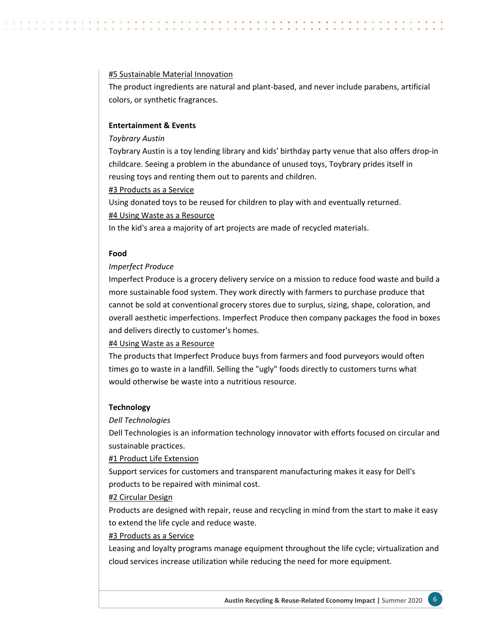#### #5 Sustainable Material Innovation

The product ingredients are natural and plant‐based, and never include parabens, artificial colors, or synthetic fragrances.

#### **Entertainment & Events**

#### *Toybrary Austin*

Toybrary Austin is a toy lending library and kids' birthday party venue that also offers drop‐in childcare. Seeing a problem in the abundance of unused toys, Toybrary prides itself in reusing toys and renting them out to parents and children.

#3 Products as a Service

Using donated toys to be reused for children to play with and eventually returned. #4 Using Waste as a Resource

In the kid's area a majority of art projects are made of recycled materials.

#### **Food**

## *Imperfect Produce*

Imperfect Produce is a grocery delivery service on a mission to reduce food waste and build a more sustainable food system. They work directly with farmers to purchase produce that cannot be sold at conventional grocery stores due to surplus, sizing, shape, coloration, and overall aesthetic imperfections. Imperfect Produce then company packages the food in boxes and delivers directly to customer's homes.

## #4 Using Waste as a Resource

The products that Imperfect Produce buys from farmers and food purveyors would often times go to waste in a landfill. Selling the "ugly" foods directly to customers turns what would otherwise be waste into a nutritious resource.

## **Technology**

## *Dell Technologies*

Dell Technologies is an information technology innovator with efforts focused on circular and sustainable practices.

#1 Product Life Extension

Support services for customers and transparent manufacturing makes it easy for Dell's products to be repaired with minimal cost.

## #2 Circular Design

Products are designed with repair, reuse and recycling in mind from the start to make it easy to extend the life cycle and reduce waste.

## #3 Products as a Service

Leasing and loyalty programs manage equipment throughout the life cycle; virtualization and cloud services increase utilization while reducing the need for more equipment.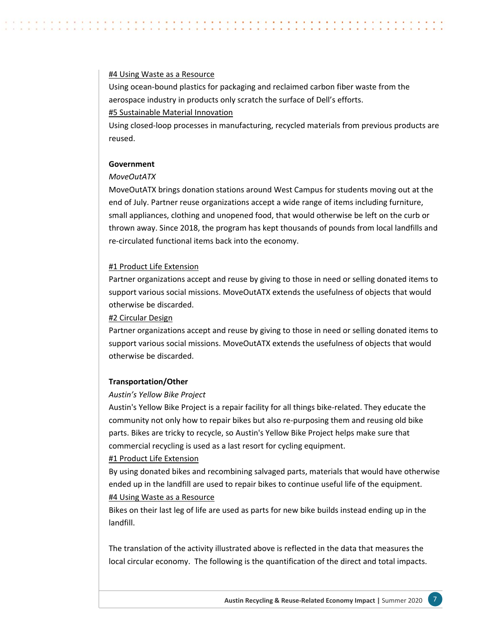#### #4 Using Waste as a Resource

Using ocean‐bound plastics for packaging and reclaimed carbon fiber waste from the aerospace industry in products only scratch the surface of Dell's efforts.

## #5 Sustainable Material Innovation

Using closed‐loop processes in manufacturing, recycled materials from previous products are reused.

## **Government**

## *MoveOutATX*

MoveOutATX brings donation stations around West Campus for students moving out at the end of July. Partner reuse organizations accept a wide range of items including furniture, small appliances, clothing and unopened food, that would otherwise be left on the curb or thrown away. Since 2018, the program has kept thousands of pounds from local landfills and re‐circulated functional items back into the economy.

## #1 Product Life Extension

Partner organizations accept and reuse by giving to those in need or selling donated items to support various social missions. MoveOutATX extends the usefulness of objects that would otherwise be discarded.

## #2 Circular Design

Partner organizations accept and reuse by giving to those in need or selling donated items to support various social missions. MoveOutATX extends the usefulness of objects that would otherwise be discarded.

## **Transportation/Other**

## *Austin's Yellow Bike Project*

Austin's Yellow Bike Project is a repair facility for all things bike‐related. They educate the community not only how to repair bikes but also re‐purposing them and reusing old bike parts. Bikes are tricky to recycle, so Austin's Yellow Bike Project helps make sure that commercial recycling is used as a last resort for cycling equipment.

## #1 Product Life Extension

By using donated bikes and recombining salvaged parts, materials that would have otherwise ended up in the landfill are used to repair bikes to continue useful life of the equipment. #4 Using Waste as a Resource

Bikes on their last leg of life are used as parts for new bike builds instead ending up in the landfill.

The translation of the activity illustrated above is reflected in the data that measures the local circular economy. The following is the quantification of the direct and total impacts.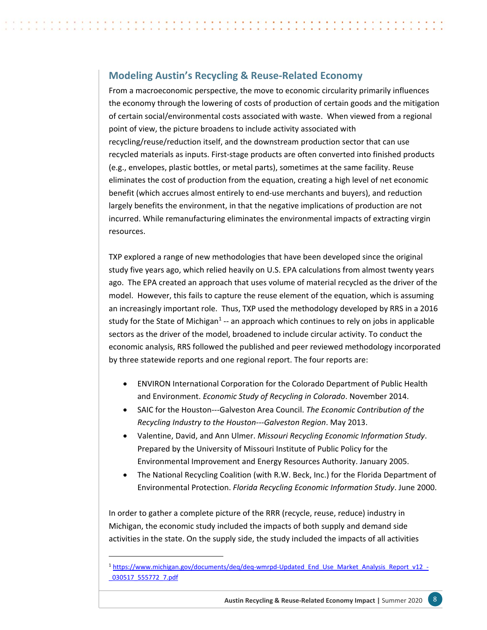## <span id="page-10-0"></span>**Modeling Austin's Recycling & Reuse‐Related Economy**

From a macroeconomic perspective, the move to economic circularity primarily influences the economy through the lowering of costs of production of certain goods and the mitigation of certain social/environmental costs associated with waste. When viewed from a regional point of view, the picture broadens to include activity associated with recycling/reuse/reduction itself, and the downstream production sector that can use recycled materials as inputs. First‐stage products are often converted into finished products (e.g., envelopes, plastic bottles, or metal parts), sometimes at the same facility. Reuse eliminates the cost of production from the equation, creating a high level of net economic benefit (which accrues almost entirely to end-use merchants and buyers), and reduction largely benefits the environment, in that the negative implications of production are not incurred. While remanufacturing eliminates the environmental impacts of extracting virgin resources.

TXP explored a range of new methodologies that have been developed since the original study five years ago, which relied heavily on U.S. EPA calculations from almost twenty years ago. The EPA created an approach that uses volume of material recycled as the driver of the model. However, this fails to capture the reuse element of the equation, which is assuming an increasingly important role. Thus, TXP used the methodology developed by RRS in a 2016 study for the State of Michigan<sup>1</sup> -- an approach which continues to rely on jobs in applicable sectors as the driver of the model, broadened to include circular activity. To conduct the economic analysis, RRS followed the published and peer reviewed methodology incorporated by three statewide reports and one regional report. The four reports are:

- ENVIRON International Corporation for the Colorado Department of Public Health and Environment. *Economic Study of Recycling in Colorado*. November 2014.
- SAIC for the Houston‐‐‐Galveston Area Council. *The Economic Contribution of the Recycling Industry to the Houston‐‐‐Galveston Region*. May 2013.
- Valentine, David, and Ann Ulmer. *Missouri Recycling Economic Information Study*. Prepared by the University of Missouri Institute of Public Policy for the Environmental Improvement and Energy Resources Authority. January 2005.
- The National Recycling Coalition (with R.W. Beck, Inc.) for the Florida Department of Environmental Protection. *Florida Recycling Economic Information Study*. June 2000.

In order to gather a complete picture of the RRR (recycle, reuse, reduce) industry in Michigan, the economic study included the impacts of both supply and demand side activities in the state. On the supply side, the study included the impacts of all activities

**Austin Recycling & Reuse-Related Economy Impact | Summer 2020 8** 

<sup>1</sup> https://www.michigan.gov/documents/deq/deq-wmrpd-Updated\_End\_Use\_Market\_Analysis\_Report\_v12\_-[\\_030517\\_555772\\_7.pdf](https://www.michigan.gov/documents/deq/deq%E2%80%90wmrpd%E2%80%90Updated_End_Use_Market_Analysis_Report_v12_%E2%80%90_030517_555772_7.pdf)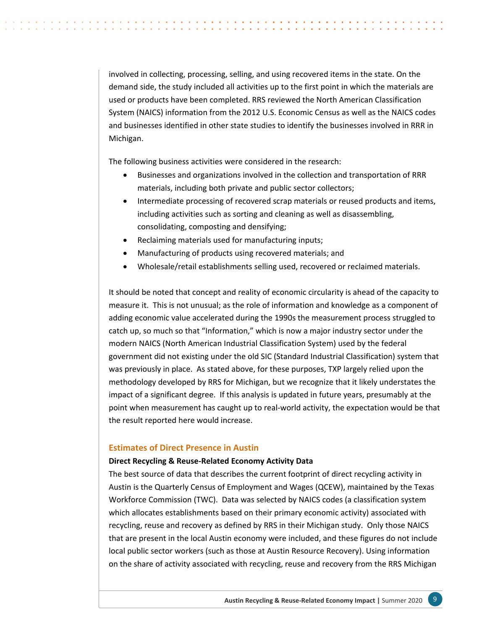involved in collecting, processing, selling, and using recovered items in the state. On the demand side, the study included all activities up to the first point in which the materials are used or products have been completed. RRS reviewed the North American Classification System (NAICS) information from the 2012 U.S. Economic Census as well as the NAICS codes and businesses identified in other state studies to identify the businesses involved in RRR in Michigan.

The following business activities were considered in the research:

- Businesses and organizations involved in the collection and transportation of RRR materials, including both private and public sector collectors;
- Intermediate processing of recovered scrap materials or reused products and items, including activities such as sorting and cleaning as well as disassembling, consolidating, composting and densifying;
- Reclaiming materials used for manufacturing inputs;
- Manufacturing of products using recovered materials; and
- Wholesale/retail establishments selling used, recovered or reclaimed materials.

It should be noted that concept and reality of economic circularity is ahead of the capacity to measure it. This is not unusual; as the role of information and knowledge as a component of adding economic value accelerated during the 1990s the measurement process struggled to catch up, so much so that "Information," which is now a major industry sector under the modern NAICS (North American Industrial Classification System) used by the federal government did not existing under the old SIC (Standard Industrial Classification) system that was previously in place. As stated above, for these purposes, TXP largely relied upon the methodology developed by RRS for Michigan, but we recognize that it likely understates the impact of a significant degree. If this analysis is updated in future years, presumably at the point when measurement has caught up to real‐world activity, the expectation would be that the result reported here would increase.

#### **Estimates of Direct Presence in Austin**

#### **Direct Recycling & Reuse‐Related Economy Activity Data**

The best source of data that describes the current footprint of direct recycling activity in Austin is the Quarterly Census of Employment and Wages (QCEW), maintained by the Texas Workforce Commission (TWC). Data was selected by NAICS codes (a classification system which allocates establishments based on their primary economic activity) associated with recycling, reuse and recovery as defined by RRS in their Michigan study. Only those NAICS that are present in the local Austin economy were included, and these figures do not include local public sector workers (such as those at Austin Resource Recovery). Using information on the share of activity associated with recycling, reuse and recovery from the RRS Michigan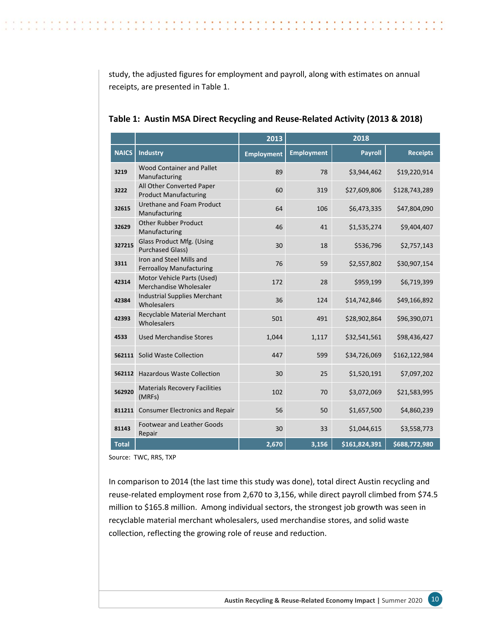study, the adjusted figures for employment and payroll, along with estimates on annual receipts, are presented in Table 1.

**A . . . . . . . . .** 

 $\cdots$ 

|              |                                                             | 2013              | 2018              |                |                 |  |
|--------------|-------------------------------------------------------------|-------------------|-------------------|----------------|-----------------|--|
| <b>NAICS</b> | <b>Industry</b>                                             | <b>Employment</b> | <b>Employment</b> | <b>Payroll</b> | <b>Receipts</b> |  |
| 3219         | Wood Container and Pallet<br>Manufacturing                  | 89                | 78                | \$3,944,462    | \$19,220,914    |  |
| 3222         | All Other Converted Paper<br><b>Product Manufacturing</b>   | 60                | 319               | \$27,609,806   | \$128,743,289   |  |
| 32615        | Urethane and Foam Product<br>Manufacturing                  | 64                | 106               | \$6,473,335    | \$47,804,090    |  |
| 32629        | <b>Other Rubber Product</b><br>Manufacturing                | 46                | 41                | \$1,535,274    | \$9,404,407     |  |
| 327215       | Glass Product Mfg. (Using<br><b>Purchased Glass)</b>        | 30                | 18                | \$536,796      | \$2,757,143     |  |
| 3311         | Iron and Steel Mills and<br><b>Ferroalloy Manufacturing</b> | 76                | 59                | \$2,557,802    | \$30,907,154    |  |
| 42314        | Motor Vehicle Parts (Used)<br>Merchandise Wholesaler        | 172               | 28                | \$959,199      | \$6,719,399     |  |
| 42384        | <b>Industrial Supplies Merchant</b><br>Wholesalers          | 36                | 124               | \$14,742,846   | \$49,166,892    |  |
| 42393        | Recyclable Material Merchant<br>Wholesalers                 | 501               | 491               | \$28,902,864   | \$96,390,071    |  |
| 4533         | <b>Used Merchandise Stores</b>                              | 1,044             | 1,117             | \$32,541,561   | \$98,436,427    |  |
| 562111       | Solid Waste Collection                                      | 447               | 599               | \$34,726,069   | \$162,122,984   |  |
| 562112       | <b>Hazardous Waste Collection</b>                           | 30                | 25                | \$1,520,191    | \$7,097,202     |  |
| 562920       | <b>Materials Recovery Facilities</b><br>(MRFs)              | 102               | 70                | \$3,072,069    | \$21,583,995    |  |
| 811211       | <b>Consumer Electronics and Repair</b>                      | 56                | 50                | \$1,657,500    | \$4,860,239     |  |
| 81143        | <b>Footwear and Leather Goods</b><br>Repair                 | 30                | 33                | \$1,044,615    | \$3,558,773     |  |
| <b>Total</b> |                                                             | 2,670             | 3,156             | \$161,824,391  | \$688,772,980   |  |

|  |  | Table 1: Austin MSA Direct Recycling and Reuse-Related Activity (2013 & 2018) |  |  |  |  |  |
|--|--|-------------------------------------------------------------------------------|--|--|--|--|--|
|--|--|-------------------------------------------------------------------------------|--|--|--|--|--|

Source: TWC, RRS, TXP

 $\sim$ 

 $\overline{\phantom{a}}$ 

In comparison to 2014 (the last time this study was done), total direct Austin recycling and reuse-related employment rose from 2,670 to 3,156, while direct payroll climbed from \$74.5 million to \$165.8 million. Among individual sectors, the strongest job growth was seen in recyclable material merchant wholesalers, used merchandise stores, and solid waste collection, reflecting the growing role of reuse and reduction.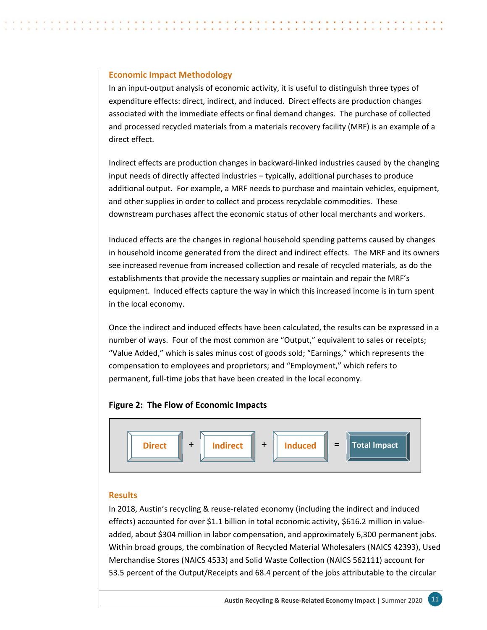## **Economic Impact Methodology**

In an input‐output analysis of economic activity, it is useful to distinguish three types of expenditure effects: direct, indirect, and induced. Direct effects are production changes associated with the immediate effects or final demand changes. The purchase of collected and processed recycled materials from a materials recovery facility (MRF) is an example of a direct effect.

Indirect effects are production changes in backward‐linked industries caused by the changing input needs of directly affected industries – typically, additional purchases to produce additional output. For example, a MRF needs to purchase and maintain vehicles, equipment, and other supplies in order to collect and process recyclable commodities. These downstream purchases affect the economic status of other local merchants and workers.

Induced effects are the changes in regional household spending patterns caused by changes in household income generated from the direct and indirect effects. The MRF and its owners see increased revenue from increased collection and resale of recycled materials, as do the establishments that provide the necessary supplies or maintain and repair the MRF's equipment. Induced effects capture the way in which this increased income is in turn spent in the local economy.

Once the indirect and induced effects have been calculated, the results can be expressed in a number of ways. Four of the most common are "Output," equivalent to sales or receipts; "Value Added," which is sales minus cost of goods sold; "Earnings," which represents the compensation to employees and proprietors; and "Employment," which refers to permanent, full‐time jobs that have been created in the local economy.

## **Figure 2: The Flow of Economic Impacts**



## **Results**

In 2018, Austin's recycling & reuse-related economy (including the indirect and induced effects) accounted for over \$1.1 billion in total economic activity, \$616.2 million in valueadded, about \$304 million in labor compensation, and approximately 6,300 permanent jobs. Within broad groups, the combination of Recycled Material Wholesalers (NAICS 42393), Used Merchandise Stores (NAICS 4533) and Solid Waste Collection (NAICS 562111) account for 53.5 percent of the Output/Receipts and 68.4 percent of the jobs attributable to the circular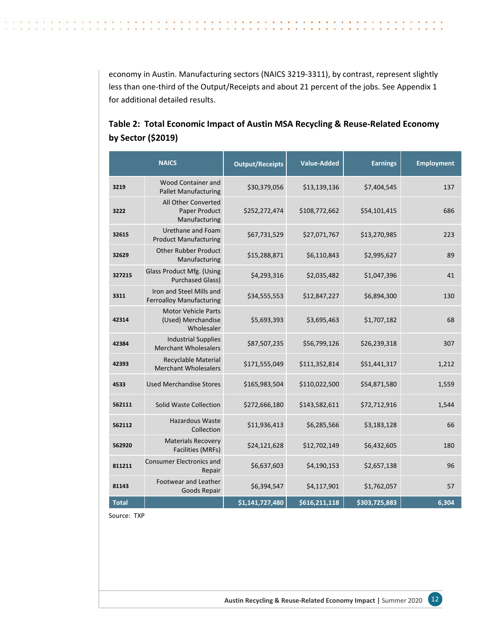economy in Austin. Manufacturing sectors (NAICS 3219‐3311), by contrast, represent slightly less than one-third of the Output/Receipts and about 21 percent of the jobs. See Appendix 1 for additional detailed results.

 $\sim$ 

 $\sim$  $\sim$ 

. . . . . . . . . . . . .

. . . . . . . . . . .

|              | <b>NAICS</b>                                                   | <b>Output/Receipts</b> | <b>Value-Added</b> | <b>Earnings</b> | <b>Employment</b> |
|--------------|----------------------------------------------------------------|------------------------|--------------------|-----------------|-------------------|
| 3219         | Wood Container and<br><b>Pallet Manufacturing</b>              | \$30,379,056           | \$13,139,136       | \$7,404,545     | 137               |
| 3222         | All Other Converted<br>Paper Product<br>Manufacturing          | \$252,272,474          | \$108,772,662      | \$54,101,415    | 686               |
| 32615        | Urethane and Foam<br><b>Product Manufacturing</b>              | \$67,731,529           | \$27,071,767       | \$13,270,985    | 223               |
| 32629        | <b>Other Rubber Product</b><br>Manufacturing                   | \$15,288,871           | \$6,110,843        | \$2,995,627     | 89                |
| 327215       | Glass Product Mfg. (Using<br><b>Purchased Glass)</b>           | \$4,293,316            | \$2,035,482        | \$1,047,396     | 41                |
| 3311         | Iron and Steel Mills and<br><b>Ferroalloy Manufacturing</b>    | \$34,555,553           | \$12,847,227       | \$6,894,300     | 130               |
| 42314        | <b>Motor Vehicle Parts</b><br>(Used) Merchandise<br>Wholesaler | \$5,693,393            | \$3,695,463        | \$1,707,182     | 68                |
| 42384        | <b>Industrial Supplies</b><br><b>Merchant Wholesalers</b>      | \$87,507,235           | \$56,799,126       | \$26,239,318    | 307               |
| 42393        | Recyclable Material<br><b>Merchant Wholesalers</b>             | \$171,555,049          | \$111,352,814      | \$51,441,317    | 1,212             |
| 4533         | <b>Used Merchandise Stores</b>                                 | \$165,983,504          | \$110,022,500      | \$54,871,580    | 1,559             |
| 562111       | Solid Waste Collection                                         | \$272,666,180          | \$143,582,611      | \$72,712,916    | 1,544             |
| 562112       | <b>Hazardous Waste</b><br>Collection                           | \$11,936,413           | \$6,285,566        | \$3,183,128     | 66                |
| 562920       | <b>Materials Recovery</b><br>Facilities (MRFs)                 | \$24,121,628           | \$12,702,149       | \$6,432,605     | 180               |
| 811211       | <b>Consumer Electronics and</b><br>Repair                      | \$6,637,603            | \$4,190,153        | \$2,657,138     | 96                |
| 81143        | <b>Footwear and Leather</b><br>Goods Repair                    | \$6,394,547            | \$4,117,901        | \$1,762,057     | 57                |
| <b>Total</b> |                                                                | \$1,141,727,480        | \$616,211,118      | \$303,725,883   | 6,304             |

## **Table 2: Total Economic Impact of Austin MSA Recycling & Reuse‐Related Economy by Sector (\$2019)**

Source: TXP

 $\alpha$ 

 $\sim$ 

 $\sim$  $\sim$  $\sim$  $\sim$  $\sim$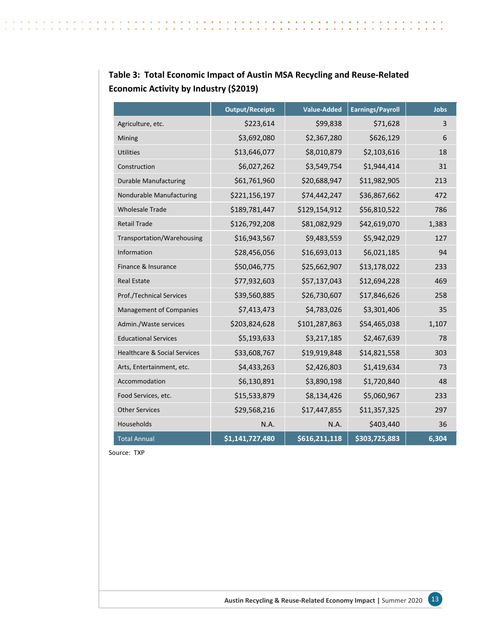|                                         | <b>Output/Receipts</b> | <b>Value-Added</b> | <b>Earnings/Payroll</b> | <b>Jobs</b> |
|-----------------------------------------|------------------------|--------------------|-------------------------|-------------|
| Agriculture, etc.                       | \$223,614              | \$99,838           | \$71,628                | 3           |
| Mining                                  | \$3,692,080            | \$2,367,280        | \$626,129               | 6           |
| <b>Utilities</b>                        | \$13,646,077           | \$8,010,879        | \$2,103,616             | 18          |
| Construction                            | \$6,027,262            | \$3,549,754        | \$1,944,414             | 31          |
| <b>Durable Manufacturing</b>            | \$61,761,960           | \$20,688,947       | \$11,982,905            | 213         |
| Nondurable Manufacturing                | \$221,156,197          | \$74,442,247       | \$36,867,662            | 472         |
| <b>Wholesale Trade</b>                  | \$189,781,447          | \$129,154,912      | \$56,810,522            | 786         |
| <b>Retail Trade</b>                     | \$126,792,208          | \$81,082,929       | \$42,619,070            | 1,383       |
| Transportation/Warehousing              | \$16,943,567           | \$9,483,559        | \$5,942,029             | 127         |
| Information                             | \$28,456,056           | \$16,693,013       | \$6,021,185             | 94          |
| Finance & Insurance                     | \$50,046,775           | \$25,662,907       | \$13,178,022            | 233         |
| <b>Real Estate</b>                      | \$77,932,603           | \$57,137,043       | \$12,694,228            | 469         |
| <b>Prof./Technical Services</b>         | \$39,560,885           | \$26,730,607       | \$17,846,626            | 258         |
| <b>Management of Companies</b>          | \$7,413,473            | \$4,783,026        | \$3,301,406             | 35          |
| Admin./Waste services                   | \$203,824,628          | \$101,287,863      | \$54,465,038            | 1,107       |
| <b>Educational Services</b>             | \$5,193,633            | \$3,217,185        | \$2,467,639             | 78          |
| <b>Healthcare &amp; Social Services</b> | \$33,608,767           | \$19,919,848       | \$14,821,558            | 303         |
| Arts, Entertainment, etc.               | \$4,433,263            | \$2,426,803        | \$1,419,634             | 73          |
| Accommodation                           | \$6,130,891            | \$3,890,198        | \$1,720,840             | 48          |
| Food Services, etc.                     | \$15,533,879           | \$8,134,426        | \$5,060,967             | 233         |
| <b>Other Services</b>                   | \$29,568,216           | \$17,447,855       | \$11,357,325            | 297         |
| Households                              | N.A.                   | N.A.               | \$403,440               | 36          |
| <b>Total Annual</b>                     | \$1,141,727,480        | \$616,211,118      | \$303,725,883           | 6,304       |

## **Table 3: Total Economic Impact of Austin MSA Recycling and Reuse‐Related Economic Activity by Industry (\$2019)**

 $\sim$  $\sim$ **Section**  $\sim$ ×  $\sim$  $\sim$ ×  $\sim$ 14

- 1

. . . . . . . . . . . . .

. . . . . . . . . . .

 $\mathbf{r}$ 

Source: TXP

 $\sim$  $\sim$  $\sim$  $\alpha$  .  $\alpha$  $\sim$  $\alpha$  $\sim$  $\sim$  $\sim$  $\sim$  $\alpha$  $\sim$  $\sim$  $\sim$  $\sim$  $\sim$ ×  $\sim$  $\sim$  $\mathbf{r}$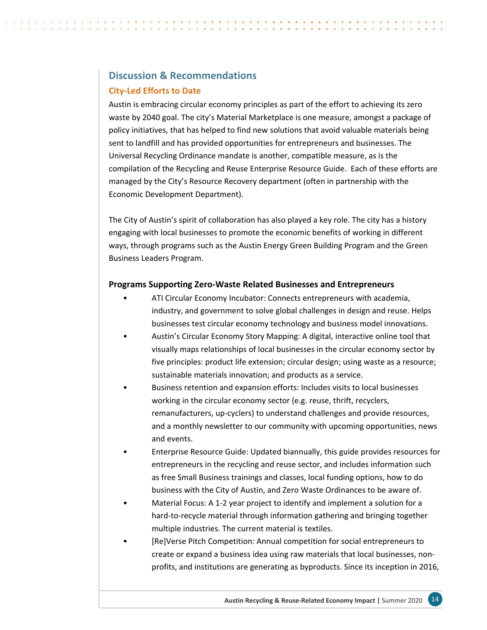## <span id="page-16-0"></span>**Discussion & Recommendations**

## **City‐Led Efforts to Date**

Austin is embracing circular economy principles as part of the effort to achieving its zero waste by 2040 goal. The city's Material Marketplace is one measure, amongst a package of policy initiatives, that has helped to find new solutions that avoid valuable materials being sent to landfill and has provided opportunities for entrepreneurs and businesses. The Universal Recycling Ordinance mandate is another, compatible measure, as is the compilation of the Recycling and Reuse Enterprise Resource Guide. Each of these efforts are managed by the City's Resource Recovery department (often in partnership with the Economic Development Department).

The City of Austin's spirit of collaboration has also played a key role. The city has a history engaging with local businesses to promote the economic benefits of working in different ways, through programs such as the Austin Energy Green Building Program and the Green Business Leaders Program.

## **Programs Supporting Zero‐Waste Related Businesses and Entrepreneurs**

- ATI Circular Economy Incubator: Connects entrepreneurs with academia, industry, and government to solve global challenges in design and reuse. Helps businesses test circular economy technology and business model innovations.
- Austin's Circular Economy Story Mapping: A digital, interactive online tool that visually maps relationships of local businesses in the circular economy sector by five principles: product life extension; circular design; using waste as a resource; sustainable materials innovation; and products as a service.
- Business retention and expansion efforts: Includes visits to local businesses working in the circular economy sector (e.g. reuse, thrift, recyclers, remanufacturers, up‐cyclers) to understand challenges and provide resources, and a monthly newsletter to our community with upcoming opportunities, news and events.
- Enterprise Resource Guide: Updated biannually, this guide provides resources for entrepreneurs in the recycling and reuse sector, and includes information such as free Small Business trainings and classes, local funding options, how to do business with the City of Austin, and Zero Waste Ordinances to be aware of.
- Material Focus: A 1‐2 year project to identify and implement a solution for a hard-to-recycle material through information gathering and bringing together multiple industries. The current material is textiles.
- [Re]Verse Pitch Competition: Annual competition for social entrepreneurs to create or expand a business idea using raw materials that local businesses, non‐ profits, and institutions are generating as byproducts. Since its inception in 2016,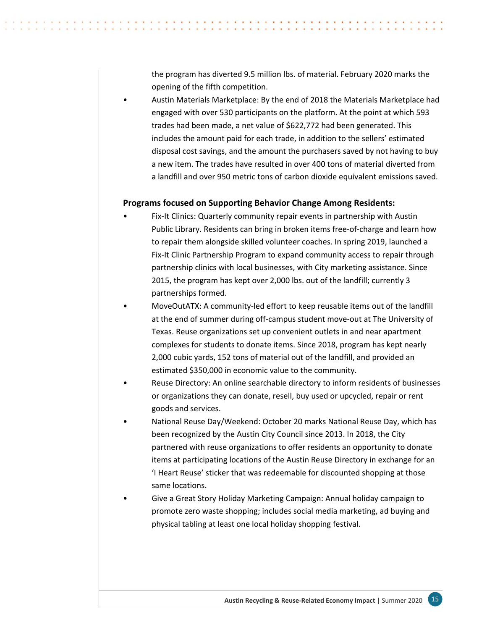the program has diverted 9.5 million lbs. of material. February 2020 marks the opening of the fifth competition.

• Austin Materials Marketplace: By the end of 2018 the Materials Marketplace had engaged with over 530 participants on the platform. At the point at which 593 trades had been made, a net value of \$622,772 had been generated. This includes the amount paid for each trade, in addition to the sellers' estimated disposal cost savings, and the amount the purchasers saved by not having to buy a new item. The trades have resulted in over 400 tons of material diverted from a landfill and over 950 metric tons of carbon dioxide equivalent emissions saved.

## **Programs focused on Supporting Behavior Change Among Residents:**

- Fix-It Clinics: Quarterly community repair events in partnership with Austin Public Library. Residents can bring in broken items free‐of‐charge and learn how to repair them alongside skilled volunteer coaches. In spring 2019, launched a Fix‐It Clinic Partnership Program to expand community access to repair through partnership clinics with local businesses, with City marketing assistance. Since 2015, the program has kept over 2,000 lbs. out of the landfill; currently 3 partnerships formed.
- MoveOutATX: A community‐led effort to keep reusable items out of the landfill at the end of summer during off‐campus student move‐out at The University of Texas. Reuse organizations set up convenient outlets in and near apartment complexes for students to donate items. Since 2018, program has kept nearly 2,000 cubic yards, 152 tons of material out of the landfill, and provided an estimated \$350,000 in economic value to the community.
- Reuse Directory: An online searchable directory to inform residents of businesses or organizations they can donate, resell, buy used or upcycled, repair or rent goods and services.
- National Reuse Day/Weekend: October 20 marks National Reuse Day, which has been recognized by the Austin City Council since 2013. In 2018, the City partnered with reuse organizations to offer residents an opportunity to donate items at participating locations of the Austin Reuse Directory in exchange for an 'I Heart Reuse' sticker that was redeemable for discounted shopping at those same locations.
- Give a Great Story Holiday Marketing Campaign: Annual holiday campaign to promote zero waste shopping; includes social media marketing, ad buying and physical tabling at least one local holiday shopping festival.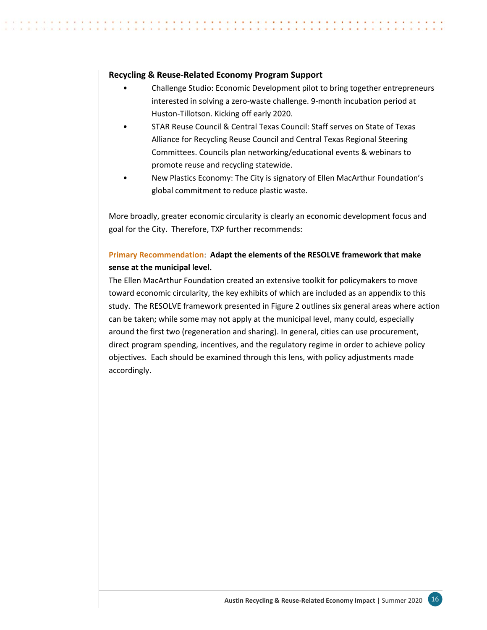## **Recycling & Reuse‐Related Economy Program Support**

- Challenge Studio: Economic Development pilot to bring together entrepreneurs interested in solving a zero‐waste challenge. 9‐month incubation period at Huston‐Tillotson. Kicking off early 2020.
- STAR Reuse Council & Central Texas Council: Staff serves on State of Texas Alliance for Recycling Reuse Council and Central Texas Regional Steering Committees. Councils plan networking/educational events & webinars to promote reuse and recycling statewide.
- New Plastics Economy: The City is signatory of Ellen MacArthur Foundation's global commitment to reduce plastic waste.

More broadly, greater economic circularity is clearly an economic development focus and goal for the City. Therefore, TXP further recommends:

## **Primary Recommendation**: **Adapt the elements of the RESOLVE framework that make sense at the municipal level.**

The Ellen MacArthur Foundation created an extensive toolkit for policymakers to move toward economic circularity, the key exhibits of which are included as an appendix to this study. The RESOLVE framework presented in Figure 2 outlines six general areas where action can be taken; while some may not apply at the municipal level, many could, especially around the first two (regeneration and sharing). In general, cities can use procurement, direct program spending, incentives, and the regulatory regime in order to achieve policy objectives. Each should be examined through this lens, with policy adjustments made accordingly.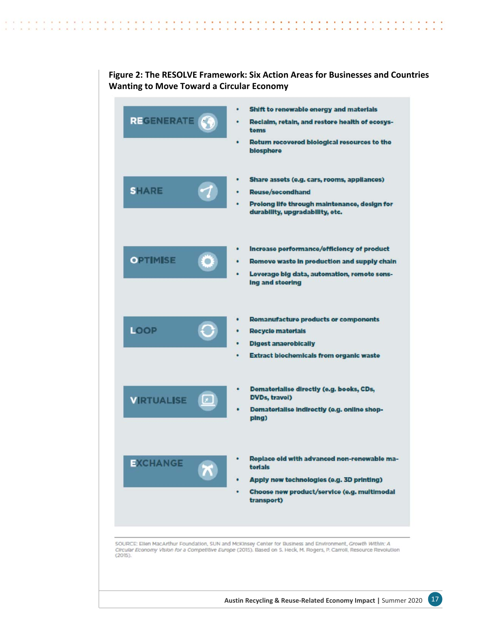| <b>REGENERATE</b> | ٠                       | Shift to renewable energy and materials<br>Reclaim, retain, and restore health of ecosys-<br>tems<br>Return recovered biological resources to the<br>biosphere                                                                      |
|-------------------|-------------------------|-------------------------------------------------------------------------------------------------------------------------------------------------------------------------------------------------------------------------------------|
| <b>SHARE</b>      |                         | Share assets (e.g. cars, rooms, appliances)<br><b>Reuse/secondhand</b><br>Prolong life through maintenance, design for<br>durability, upgradability, etc.                                                                           |
| <b>OPTIMISE</b>   | O                       | Increase performance/efficiency of product<br>Remove waste in production and supply chain<br>Leverage big data, automation, remote sens-<br>Ing and steering                                                                        |
| LOOP              | ٠                       | <b>Remanufacture products or components</b><br><b>Recycle materials</b><br><b>Digest anaerobically</b><br>Extract blochemicals from organic waste                                                                                   |
| <b>VIRTUALISE</b> | $\boxed{x}$             | Dematerialise directly (e.g. books, CDs,<br>DVDs, travel)<br>Dematerialise indirectly (e.g. online shop-<br>plng)                                                                                                                   |
| <b>EXCHANGE</b>   | $\overline{\mathbf{x}}$ | Replace old with advanced non-renewable ma-<br>torials<br>Apply new technologies (e.g. 3D printing)<br>Choose new product/service (e.g. multimodal<br>transport)                                                                    |
| (2015).           |                         | SOURCE: Ellen MacArthur Foundation, SUN and McKinsey Center for Business and Environment, Growth Within: A<br>Circular Economy Vision for a Competitive Europe (2015). Based on S. Heck, M. Rogers, P. Carroll, Resource Revolution |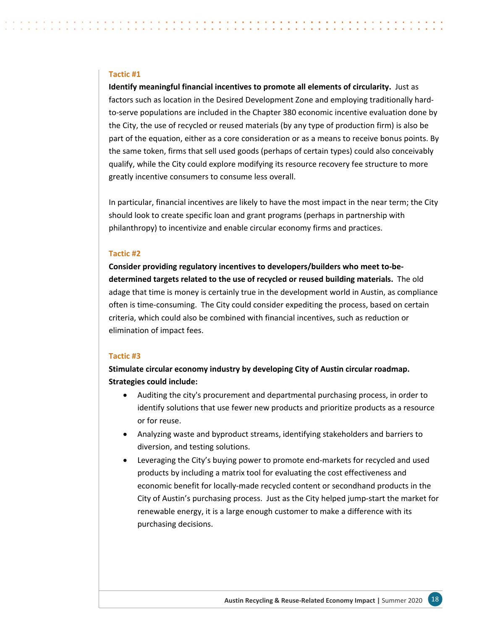#### **Tactic #1**

**Identify meaningful financial incentives to promote all elements of circularity.** Just as factors such as location in the Desired Development Zone and employing traditionally hard‐ to-serve populations are included in the Chapter 380 economic incentive evaluation done by the City, the use of recycled or reused materials (by any type of production firm) is also be part of the equation, either as a core consideration or as a means to receive bonus points. By the same token, firms that sell used goods (perhaps of certain types) could also conceivably qualify, while the City could explore modifying its resource recovery fee structure to more greatly incentive consumers to consume less overall.

In particular, financial incentives are likely to have the most impact in the near term; the City should look to create specific loan and grant programs (perhaps in partnership with philanthropy) to incentivize and enable circular economy firms and practices.

#### **Tactic #2**

**Consider providing regulatory incentives to developers/builders who meet to‐be‐ determined targets related to the use of recycled or reused building materials.** The old adage that time is money is certainly true in the development world in Austin, as compliance often is time‐consuming. The City could consider expediting the process, based on certain criteria, which could also be combined with financial incentives, such as reduction or elimination of impact fees.

#### **Tactic #3**

**Stimulate circular economy industry by developing City of Austin circular roadmap. Strategies could include:** 

- Auditing the city's procurement and departmental purchasing process, in order to identify solutions that use fewer new products and prioritize products as a resource or for reuse.
- Analyzing waste and byproduct streams, identifying stakeholders and barriers to diversion, and testing solutions.
- Leveraging the City's buying power to promote end-markets for recycled and used products by including a matrix tool for evaluating the cost effectiveness and economic benefit for locally-made recycled content or secondhand products in the City of Austin's purchasing process. Just as the City helped jump‐start the market for renewable energy, it is a large enough customer to make a difference with its purchasing decisions.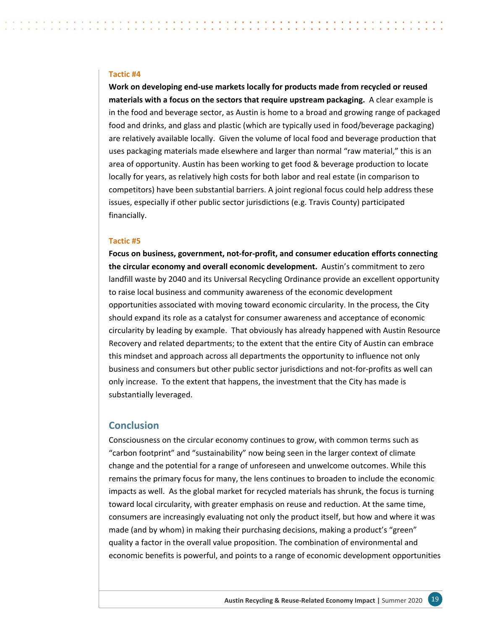#### <span id="page-21-0"></span>**Tactic #4**

**Work on developing end‐use markets locally for products made from recycled or reused materials with a focus on the sectors that require upstream packaging.** A clear example is in the food and beverage sector, as Austin is home to a broad and growing range of packaged food and drinks, and glass and plastic (which are typically used in food/beverage packaging) are relatively available locally. Given the volume of local food and beverage production that uses packaging materials made elsewhere and larger than normal "raw material," this is an area of opportunity. Austin has been working to get food & beverage production to locate locally for years, as relatively high costs for both labor and real estate (in comparison to competitors) have been substantial barriers. A joint regional focus could help address these issues, especially if other public sector jurisdictions (e.g. Travis County) participated financially.

#### **Tactic #5**

**Focus on business, government, not‐for‐profit, and consumer education efforts connecting the circular economy and overall economic development.** Austin's commitment to zero landfill waste by 2040 and its Universal Recycling Ordinance provide an excellent opportunity to raise local business and community awareness of the economic development opportunities associated with moving toward economic circularity. In the process, the City should expand its role as a catalyst for consumer awareness and acceptance of economic circularity by leading by example. That obviously has already happened with Austin Resource Recovery and related departments; to the extent that the entire City of Austin can embrace this mindset and approach across all departments the opportunity to influence not only business and consumers but other public sector jurisdictions and not‐for‐profits as well can only increase. To the extent that happens, the investment that the City has made is substantially leveraged.

## **Conclusion**

Consciousness on the circular economy continues to grow, with common terms such as "carbon footprint" and "sustainability" now being seen in the larger context of climate change and the potential for a range of unforeseen and unwelcome outcomes. While this remains the primary focus for many, the lens continues to broaden to include the economic impacts as well. As the global market for recycled materials has shrunk, the focus is turning toward local circularity, with greater emphasis on reuse and reduction. At the same time, consumers are increasingly evaluating not only the product itself, but how and where it was made (and by whom) in making their purchasing decisions, making a product's "green" quality a factor in the overall value proposition. The combination of environmental and economic benefits is powerful, and points to a range of economic development opportunities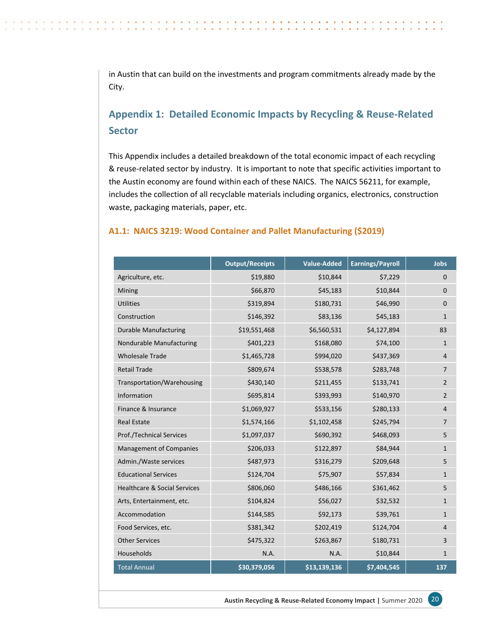<span id="page-22-0"></span>in Austin that can build on the investments and program commitments already made by the City.

## **Appendix 1: Detailed Economic Impacts by Recycling & Reuse‐Related Sector**

This Appendix includes a detailed breakdown of the total economic impact of each recycling & reuse‐related sector by industry. It is important to note that specific activities important to the Austin economy are found within each of these NAICS. The NAICS 56211, for example, includes the collection of all recyclable materials including organics, electronics, construction waste, packaging materials, paper, etc.

## **A1.1: NAICS 3219: Wood Container and Pallet Manufacturing (\$2019)**

|                                         | <b>Output/Receipts</b> | <b>Value-Added</b> | <b>Earnings/Payroll</b> | <b>Jobs</b>    |
|-----------------------------------------|------------------------|--------------------|-------------------------|----------------|
| Agriculture, etc.                       | \$19,880               | \$10,844           | \$7,229                 | $\mathbf 0$    |
| Mining                                  | \$66,870               | \$45,183           | \$10,844                | $\mathbf{0}$   |
| <b>Utilities</b>                        | \$319,894              | \$180,731          | \$46,990                | $\mathbf{0}$   |
| Construction                            | \$146,392              | \$83,136           | \$45,183                | $\mathbf{1}$   |
| <b>Durable Manufacturing</b>            | \$19,551,468           | \$6,560,531        | \$4,127,894             | 83             |
| Nondurable Manufacturing                | \$401,223              | \$168,080          | \$74,100                | $\mathbf{1}$   |
| <b>Wholesale Trade</b>                  | \$1,465,728            | \$994,020          | \$437,369               | $\overline{4}$ |
| <b>Retail Trade</b>                     | \$809,674              | \$538,578          | \$283,748               | $\overline{7}$ |
| Transportation/Warehousing              | \$430,140              | \$211,455          | \$133,741               | $\overline{2}$ |
| Information                             | \$695,814              | \$393,993          | \$140,970               | $\overline{2}$ |
| Finance & Insurance                     | \$1,069,927            | \$533,156          | \$280,133               | $\overline{4}$ |
| <b>Real Estate</b>                      | \$1,574,166            | \$1,102,458        | \$245,794               | $\overline{7}$ |
| <b>Prof./Technical Services</b>         | \$1,097,037            | \$690,392          | \$468,093               | 5              |
| <b>Management of Companies</b>          | \$206,033              | \$122,897          | \$84,944                | $\mathbf{1}$   |
| Admin./Waste services                   | \$487,973              | \$316,279          | \$209,648               | 5              |
| <b>Educational Services</b>             | \$124,704              | \$75,907           | \$57,834                | $\mathbf{1}$   |
| <b>Healthcare &amp; Social Services</b> | \$806,060              | \$486,166          | \$361,462               | 5              |
| Arts, Entertainment, etc.               | \$104,824              | \$56,027           | \$32,532                | $\mathbf{1}$   |
| Accommodation                           | \$144,585              | \$92,173           | \$39,761                | $\mathbf{1}$   |
| Food Services, etc.                     | \$381,342              | \$202,419          | \$124,704               | 4              |
| <b>Other Services</b>                   | \$475,322              | \$263,867          | \$180,731               | 3              |
| Households                              | N.A.                   | N.A.               | \$10,844                | $\mathbf{1}$   |
| <b>Total Annual</b>                     | \$30,379,056           | \$13,139,136       | \$7,404,545             | 137            |

**Austin Recycling & Reuse‐Related Economy Impact |** Summer 2020 20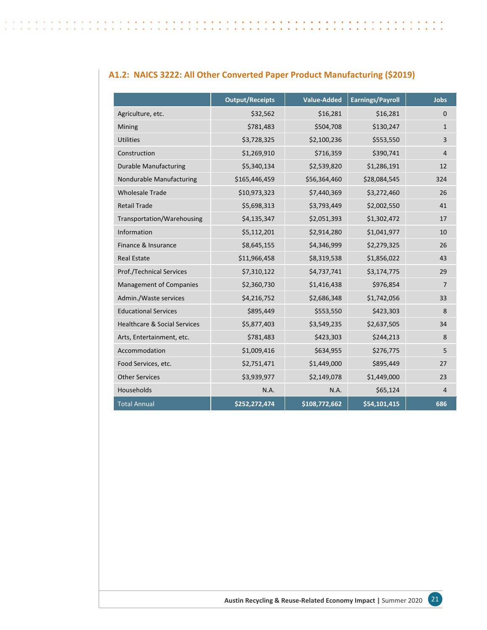|                                         | <b>Output/Receipts</b> | <b>Value-Added</b> | <b>Earnings/Payroll</b> | <b>Jobs</b>    |
|-----------------------------------------|------------------------|--------------------|-------------------------|----------------|
| Agriculture, etc.                       | \$32,562               | \$16,281           | \$16,281                | $\mathbf{0}$   |
| Mining                                  | \$781,483              | \$504,708          | \$130,247               | $\mathbf{1}$   |
| <b>Utilities</b>                        | \$3,728,325            | \$2,100,236        | \$553,550               | 3              |
| Construction                            | \$1,269,910            | \$716,359          | \$390,741               | $\overline{4}$ |
| <b>Durable Manufacturing</b>            | \$5,340,134            | \$2,539,820        | \$1,286,191             | 12             |
| Nondurable Manufacturing                | \$165,446,459          | \$56,364,460       | \$28,084,545            | 324            |
| <b>Wholesale Trade</b>                  | \$10,973,323           | \$7,440,369        | \$3,272,460             | 26             |
| <b>Retail Trade</b>                     | \$5,698,313            | \$3,793,449        | \$2,002,550             | 41             |
| Transportation/Warehousing              | \$4,135,347            | \$2,051,393        | \$1,302,472             | 17             |
| Information                             | \$5,112,201            | \$2,914,280        | \$1,041,977             | 10             |
| Finance & Insurance                     | \$8,645,155            | \$4,346,999        | \$2,279,325             | 26             |
| <b>Real Estate</b>                      | \$11,966,458           | \$8,319,538        | \$1,856,022             | 43             |
| Prof./Technical Services                | \$7,310,122            | \$4,737,741        | \$3,174,775             | 29             |
| <b>Management of Companies</b>          | \$2,360,730            | \$1,416,438        | \$976,854               | $\overline{7}$ |
| Admin./Waste services                   | \$4,216,752            | \$2,686,348        | \$1,742,056             | 33             |
| <b>Educational Services</b>             | \$895,449              | \$553,550          | \$423,303               | 8              |
| <b>Healthcare &amp; Social Services</b> | \$5,877,403            | \$3,549,235        | \$2,637,505             | 34             |
| Arts, Entertainment, etc.               | \$781,483              | \$423,303          | \$244,213               | 8              |
| Accommodation                           | \$1,009,416            | \$634,955          | \$276,775               | 5              |
| Food Services, etc.                     | \$2,751,471            | \$1,449,000        | \$895,449               | 27             |
| <b>Other Services</b>                   | \$3,939,977            | \$2,149,078        | \$1,449,000             | 23             |
| Households                              | N.A.                   | N.A.               | \$65,124                | $\overline{4}$ |
| <b>Total Annual</b>                     | \$252,272,474          | \$108,772,662      | \$54,101,415            | 686            |

## **A1.2: NAICS 3222: All Other Converted Paper Product Manufacturing (\$2019)**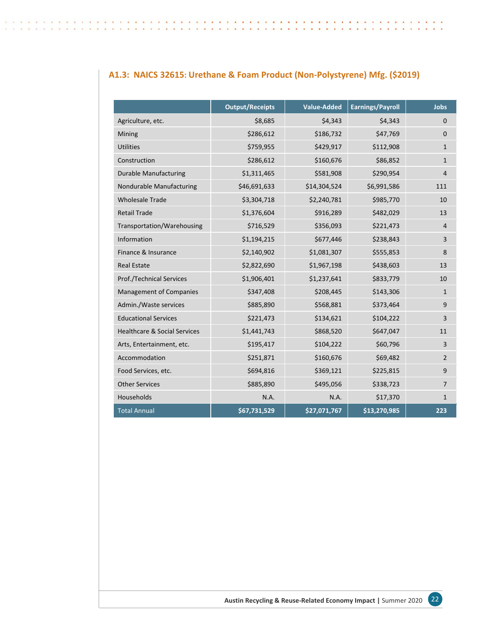| A1.3: NAICS 32615: Urethane & Foam Product (Non-Polystyrene) Mfg. (\$2019) |  |  |  |  |
|----------------------------------------------------------------------------|--|--|--|--|
|----------------------------------------------------------------------------|--|--|--|--|

|                                         | <b>Output/Receipts</b> | <b>Value-Added</b> | <b>Earnings/Payroll</b> | <b>Jobs</b>    |
|-----------------------------------------|------------------------|--------------------|-------------------------|----------------|
| Agriculture, etc.                       | \$8,685                | \$4,343            | \$4,343                 | $\Omega$       |
| Mining                                  | \$286,612              | \$186,732          | \$47,769                | $\Omega$       |
| <b>Utilities</b>                        | \$759,955              | \$429,917          | \$112,908               | $\mathbf{1}$   |
| Construction                            | \$286,612              | \$160,676          | \$86,852                | $\mathbf{1}$   |
| <b>Durable Manufacturing</b>            | \$1,311,465            | \$581,908          | \$290,954               | 4              |
| Nondurable Manufacturing                | \$46,691,633           | \$14,304,524       | \$6,991,586             | 111            |
| <b>Wholesale Trade</b>                  | \$3,304,718            | \$2,240,781        | \$985,770               | 10             |
| <b>Retail Trade</b>                     | \$1,376,604            | \$916,289          | \$482,029               | 13             |
| Transportation/Warehousing              | \$716,529              | \$356,093          | \$221,473               | 4              |
| Information                             | \$1,194,215            | \$677,446          | \$238,843               | 3              |
| Finance & Insurance                     | \$2,140,902            | \$1,081,307        | \$555,853               | 8              |
| <b>Real Estate</b>                      | \$2,822,690            | \$1,967,198        | \$438,603               | 13             |
| Prof./Technical Services                | \$1,906,401            | \$1,237,641        | \$833,779               | 10             |
| <b>Management of Companies</b>          | \$347,408              | \$208,445          | \$143,306               | $\mathbf{1}$   |
| Admin./Waste services                   | \$885,890              | \$568,881          | \$373,464               | 9              |
| <b>Educational Services</b>             | \$221,473              | \$134,621          | \$104,222               | 3              |
| <b>Healthcare &amp; Social Services</b> | \$1,441,743            | \$868,520          | \$647,047               | 11             |
| Arts, Entertainment, etc.               | \$195,417              | \$104,222          | \$60,796                | 3              |
| Accommodation                           | \$251,871              | \$160,676          | \$69,482                | $\overline{2}$ |
| Food Services, etc.                     | \$694,816              | \$369,121          | \$225,815               | 9              |
| <b>Other Services</b>                   | \$885,890              | \$495,056          | \$338,723               | $\overline{7}$ |
| Households                              | N.A.                   | N.A.               | \$17,370                | $\mathbf{1}$   |
| <b>Total Annual</b>                     | \$67,731,529           | \$27,071,767       | \$13,270,985            | 223            |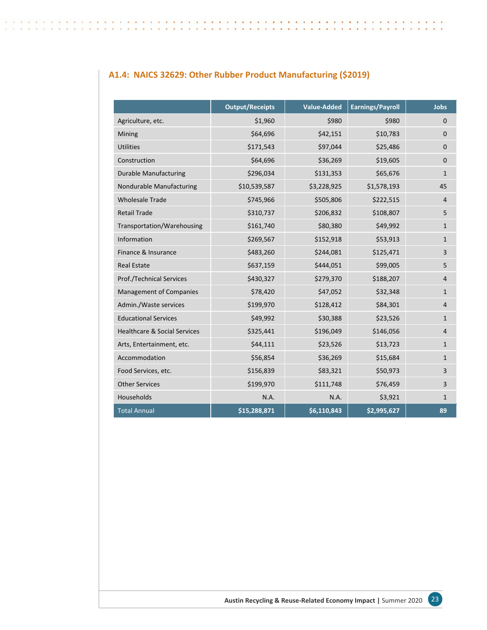## **A1.4: NAICS 32629: Other Rubber Product Manufacturing (\$2019)**

|                                         | <b>Output/Receipts</b> | <b>Value-Added</b> | <b>Earnings/Payroll</b> | <b>Jobs</b>  |
|-----------------------------------------|------------------------|--------------------|-------------------------|--------------|
| Agriculture, etc.                       | \$1,960                | \$980              | \$980                   | $\Omega$     |
| Mining                                  | \$64,696               | \$42,151           | \$10,783                | $\mathbf 0$  |
| <b>Utilities</b>                        | \$171,543              | \$97,044           | \$25,486                | $\mathbf 0$  |
| Construction                            | \$64,696               | \$36,269           | \$19,605                | $\mathbf{0}$ |
| <b>Durable Manufacturing</b>            | \$296,034              | \$131,353          | \$65,676                | $\mathbf{1}$ |
| Nondurable Manufacturing                | \$10,539,587           | \$3,228,925        | \$1,578,193             | 45           |
| <b>Wholesale Trade</b>                  | \$745,966              | \$505,806          | \$222,515               | 4            |
| <b>Retail Trade</b>                     | \$310,737              | \$206,832          | \$108,807               | 5            |
| Transportation/Warehousing              | \$161,740              | \$80,380           | \$49,992                | $\mathbf{1}$ |
| Information                             | \$269,567              | \$152,918          | \$53,913                | $\mathbf{1}$ |
| Finance & Insurance                     | \$483,260              | \$244,081          | \$125,471               | 3            |
| <b>Real Estate</b>                      | \$637,159              | \$444,051          | \$99,005                | 5            |
| Prof./Technical Services                | \$430,327              | \$279,370          | \$188,207               | 4            |
| <b>Management of Companies</b>          | \$78,420               | \$47,052           | \$32,348                | $\mathbf{1}$ |
| Admin./Waste services                   | \$199,970              | \$128,412          | \$84,301                | 4            |
| <b>Educational Services</b>             | \$49,992               | \$30,388           | \$23,526                | $\mathbf{1}$ |
| <b>Healthcare &amp; Social Services</b> | \$325,441              | \$196,049          | \$146,056               | 4            |
| Arts, Entertainment, etc.               | \$44,111               | \$23,526           | \$13,723                | $\mathbf{1}$ |
| Accommodation                           | \$56,854               | \$36,269           | \$15,684                | $\mathbf{1}$ |
| Food Services, etc.                     | \$156,839              | \$83,321           | \$50,973                | 3            |
| <b>Other Services</b>                   | \$199,970              | \$111,748          | \$76,459                | 3            |
| Households                              | N.A.                   | N.A.               | \$3,921                 | $\mathbf{1}$ |
| <b>Total Annual</b>                     | \$15,288,871           | \$6,110,843        | \$2,995,627             | 89           |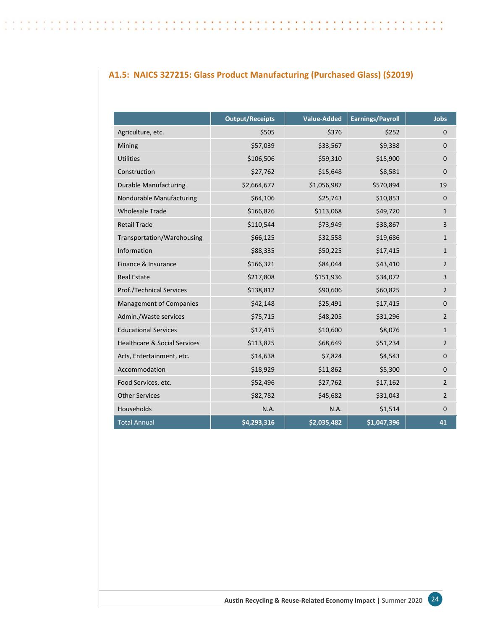## **A1.5: NAICS 327215: Glass Product Manufacturing (Purchased Glass) (\$2019)**

 $\sim$ 197

|                                         | <b>Output/Receipts</b> | <b>Value-Added</b> | <b>Earnings/Payroll</b> | Jobs           |
|-----------------------------------------|------------------------|--------------------|-------------------------|----------------|
| Agriculture, etc.                       | \$505                  | \$376              | \$252                   | 0              |
| Mining                                  | \$57,039               | \$33,567           | \$9,338                 | $\Omega$       |
| <b>Utilities</b>                        | \$106,506              | \$59,310           | \$15,900                | 0              |
| Construction                            | \$27,762               | \$15,648           | \$8,581                 | $\Omega$       |
| <b>Durable Manufacturing</b>            | \$2,664,677            | \$1,056,987        | \$570,894               | 19             |
| Nondurable Manufacturing                | \$64,106               | \$25,743           | \$10,853                | 0              |
| <b>Wholesale Trade</b>                  | \$166,826              | \$113,068          | \$49,720                | $\mathbf{1}$   |
| <b>Retail Trade</b>                     | \$110,544              | \$73,949           | \$38,867                | 3              |
| Transportation/Warehousing              | \$66,125               | \$32,558           | \$19,686                | $\mathbf{1}$   |
| Information                             | \$88,335               | \$50,225           | \$17,415                | $\mathbf{1}$   |
| Finance & Insurance                     | \$166,321              | \$84,044           | \$43,410                | $\overline{2}$ |
| <b>Real Estate</b>                      | \$217,808              | \$151,936          | \$34,072                | 3              |
| Prof./Technical Services                | \$138,812              | \$90,606           | \$60,825                | $\overline{2}$ |
| <b>Management of Companies</b>          | \$42,148               | \$25,491           | \$17,415                | $\mathbf 0$    |
| Admin./Waste services                   | \$75,715               | \$48,205           | \$31,296                | $\overline{2}$ |
| <b>Educational Services</b>             | \$17,415               | \$10,600           | \$8,076                 | $\mathbf{1}$   |
| <b>Healthcare &amp; Social Services</b> | \$113,825              | \$68,649           | \$51,234                | $\overline{2}$ |
| Arts, Entertainment, etc.               | \$14,638               | \$7,824            | \$4,543                 | $\mathbf{0}$   |
| Accommodation                           | \$18,929               | \$11,862           | \$5,300                 | 0              |
| Food Services, etc.                     | \$52,496               | \$27,762           | \$17,162                | $\overline{2}$ |
| <b>Other Services</b>                   | \$82,782               | \$45,682           | \$31,043                | $\overline{2}$ |
| Households                              | N.A.                   | N.A.               | \$1,514                 | $\mathbf 0$    |
| <b>Total Annual</b>                     | \$4,293,316            | \$2,035,482        | \$1,047,396             | 41             |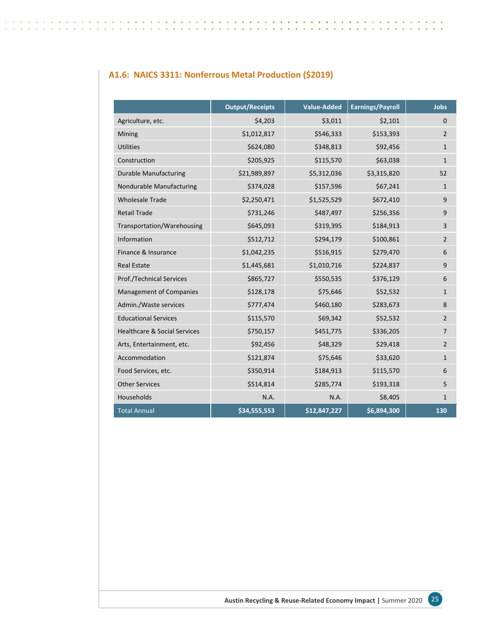## **A1.6: NAICS 3311: Nonferrous Metal Production (\$2019)**

|                                         | <b>Output/Receipts</b> | <b>Value-Added</b> | <b>Earnings/Payroll</b> | Jobs           |
|-----------------------------------------|------------------------|--------------------|-------------------------|----------------|
| Agriculture, etc.                       | \$4,203                | \$3,011            | \$2,101                 | $\Omega$       |
| Mining                                  | \$1,012,817            | \$546,333          | \$153,393               | $\overline{2}$ |
| <b>Utilities</b>                        | \$624,080              | \$348,813          | \$92,456                | $\mathbf{1}$   |
| Construction                            | \$205,925              | \$115,570          | \$63,038                | $\mathbf{1}$   |
| <b>Durable Manufacturing</b>            | \$21,989,897           | \$5,312,036        | \$3,315,820             | 52             |
| Nondurable Manufacturing                | \$374,028              | \$157,596          | \$67,241                | $\mathbf{1}$   |
| <b>Wholesale Trade</b>                  | \$2,250,471            | \$1,525,529        | \$672,410               | 9              |
| <b>Retail Trade</b>                     | \$731,246              | \$487,497          | \$256,356               | 9              |
| Transportation/Warehousing              | \$645,093              | \$319,395          | \$184,913               | 3              |
| Information                             | \$512,712              | \$294,179          | \$100,861               | $\overline{2}$ |
| Finance & Insurance                     | \$1,042,235            | \$516,915          | \$279,470               | 6              |
| <b>Real Estate</b>                      | \$1,445,681            | \$1,010,716        | \$224,837               | 9              |
| <b>Prof./Technical Services</b>         | \$865,727              | \$550,535          | \$376,129               | 6              |
| <b>Management of Companies</b>          | \$128,178              | \$75,646           | \$52,532                | $\mathbf{1}$   |
| Admin./Waste services                   | \$777,474              | \$460,180          | \$283,673               | 8              |
| <b>Educational Services</b>             | \$115,570              | \$69,342           | \$52,532                | $\overline{2}$ |
| <b>Healthcare &amp; Social Services</b> | \$750,157              | \$451,775          | \$336,205               | $\overline{7}$ |
| Arts, Entertainment, etc.               | \$92,456               | \$48,329           | \$29,418                | $\overline{2}$ |
| Accommodation                           | \$121,874              | \$75,646           | \$33,620                | $\mathbf{1}$   |
| Food Services, etc.                     | \$350,914              | \$184,913          | \$115,570               | 6              |
| <b>Other Services</b>                   | \$514,814              | \$285,774          | \$193,318               | 5              |
| Households                              | N.A.                   | N.A.               | \$8,405                 | $\mathbf{1}$   |
| <b>Total Annual</b>                     | \$34,555,553           | \$12,847,227       | \$6,894,300             | 130            |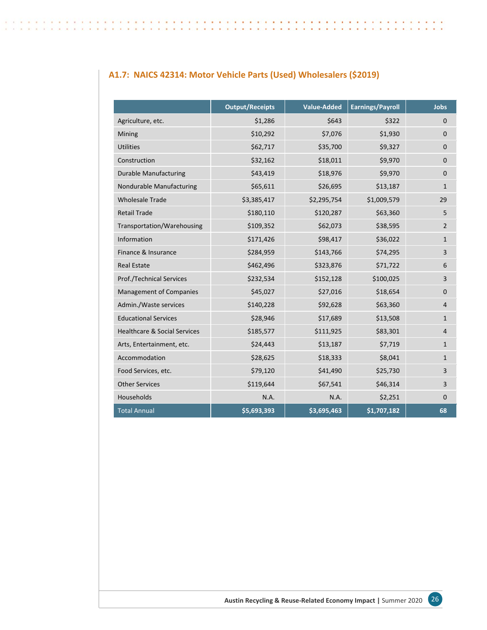## **A1.7: NAICS 42314: Motor Vehicle Parts (Used) Wholesalers (\$2019)**

|                                         | <b>Output/Receipts</b> | <b>Value-Added</b> | <b>Earnings/Payroll</b> | <b>Jobs</b>    |
|-----------------------------------------|------------------------|--------------------|-------------------------|----------------|
| Agriculture, etc.                       | \$1,286                | \$643              | \$322                   | $\Omega$       |
| Mining                                  | \$10,292               | \$7,076            | \$1,930                 | $\mathbf{0}$   |
| <b>Utilities</b>                        | \$62,717               | \$35,700           | \$9,327                 | $\mathbf 0$    |
| Construction                            | \$32,162               | \$18,011           | \$9,970                 | $\mathbf 0$    |
| <b>Durable Manufacturing</b>            | \$43,419               | \$18,976           | \$9,970                 | $\mathbf 0$    |
| Nondurable Manufacturing                | \$65,611               | \$26,695           | \$13,187                | $\mathbf{1}$   |
| <b>Wholesale Trade</b>                  | \$3,385,417            | \$2,295,754        | \$1,009,579             | 29             |
| <b>Retail Trade</b>                     | \$180,110              | \$120,287          | \$63,360                | 5              |
| Transportation/Warehousing              | \$109,352              | \$62,073           | \$38,595                | $\overline{2}$ |
| Information                             | \$171,426              | \$98,417           | \$36,022                | $\mathbf{1}$   |
| Finance & Insurance                     | \$284,959              | \$143,766          | \$74,295                | 3              |
| <b>Real Estate</b>                      | \$462,496              | \$323,876          | \$71,722                | 6              |
| Prof./Technical Services                | \$232,534              | \$152,128          | \$100,025               | 3              |
| <b>Management of Companies</b>          | \$45,027               | \$27,016           | \$18,654                | $\mathbf 0$    |
| Admin./Waste services                   | \$140,228              | \$92,628           | \$63,360                | $\overline{4}$ |
| <b>Educational Services</b>             | \$28,946               | \$17,689           | \$13,508                | $\mathbf{1}$   |
| <b>Healthcare &amp; Social Services</b> | \$185,577              | \$111,925          | \$83,301                | $\overline{4}$ |
| Arts, Entertainment, etc.               | \$24,443               | \$13,187           | \$7,719                 | $\mathbf{1}$   |
| Accommodation                           | \$28,625               | \$18,333           | \$8,041                 | $\mathbf{1}$   |
| Food Services, etc.                     | \$79,120               | \$41,490           | \$25,730                | 3              |
| <b>Other Services</b>                   | \$119,644              | \$67,541           | \$46,314                | 3              |
| Households                              | N.A.                   | N.A.               | \$2,251                 | $\mathbf{0}$   |
| <b>Total Annual</b>                     | \$5,693,393            | \$3,695,463        | \$1,707,182             | 68             |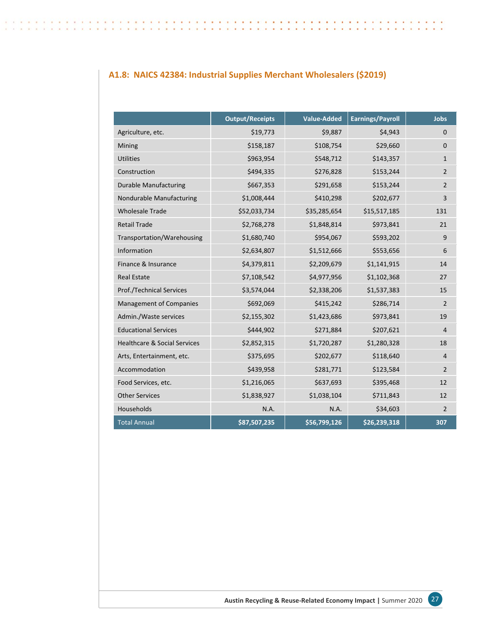## **A1.8: NAICS 42384: Industrial Supplies Merchant Wholesalers (\$2019)**

 $\sim$ **SW** 

|                                         | <b>Output/Receipts</b> | Value-Added  | <b>Earnings/Payroll</b> | <b>Jobs</b>    |
|-----------------------------------------|------------------------|--------------|-------------------------|----------------|
| Agriculture, etc.                       | \$19,773               | \$9,887      | \$4,943                 | $\mathbf 0$    |
| Mining                                  | \$158,187              | \$108,754    | \$29,660                | $\mathbf 0$    |
| <b>Utilities</b>                        | \$963,954              | \$548,712    | \$143,357               | $\mathbf{1}$   |
| Construction                            | \$494,335              | \$276,828    | \$153,244               | $\overline{2}$ |
| <b>Durable Manufacturing</b>            | \$667,353              | \$291,658    | \$153,244               | $\overline{2}$ |
| Nondurable Manufacturing                | \$1,008,444            | \$410,298    | \$202,677               | 3              |
| <b>Wholesale Trade</b>                  | \$52,033,734           | \$35,285,654 | \$15,517,185            | 131            |
| <b>Retail Trade</b>                     | \$2,768,278            | \$1,848,814  | \$973,841               | 21             |
| Transportation/Warehousing              | \$1,680,740            | \$954,067    | \$593,202               | 9              |
| Information                             | \$2,634,807            | \$1,512,666  | \$553,656               | 6              |
| Finance & Insurance                     | \$4,379,811            | \$2,209,679  | \$1,141,915             | 14             |
| <b>Real Estate</b>                      | \$7,108,542            | \$4,977,956  | \$1,102,368             | 27             |
| Prof./Technical Services                | \$3,574,044            | \$2,338,206  | \$1,537,383             | 15             |
| <b>Management of Companies</b>          | \$692,069              | \$415,242    | \$286,714               | 2              |
| Admin./Waste services                   | \$2,155,302            | \$1,423,686  | \$973,841               | 19             |
| <b>Educational Services</b>             | \$444,902              | \$271,884    | \$207,621               | $\overline{4}$ |
| <b>Healthcare &amp; Social Services</b> | \$2,852,315            | \$1,720,287  | \$1,280,328             | 18             |
| Arts, Entertainment, etc.               | \$375,695              | \$202,677    | \$118,640               | 4              |
| Accommodation                           | \$439,958              | \$281,771    | \$123,584               | $\overline{2}$ |
| Food Services, etc.                     | \$1,216,065            | \$637,693    | \$395,468               | 12             |
| <b>Other Services</b>                   | \$1,838,927            | \$1,038,104  | \$711,843               | 12             |
| Households                              | N.A.                   | N.A.         | \$34,603                | $\overline{2}$ |
| <b>Total Annual</b>                     | \$87,507,235           | \$56,799,126 | \$26,239,318            | 307            |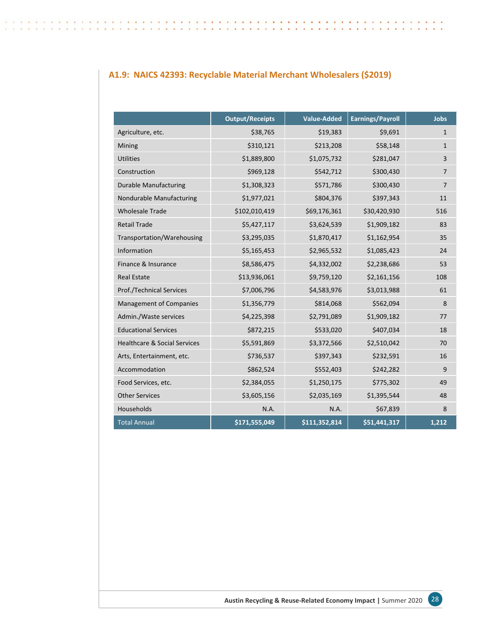## **A1.9: NAICS 42393: Recyclable Material Merchant Wholesalers (\$2019)**

 $\sim$ **SW** 

|                                         | <b>Output/Receipts</b> | <b>Value-Added</b> | <b>Earnings/Payroll</b> | <b>Jobs</b>  |
|-----------------------------------------|------------------------|--------------------|-------------------------|--------------|
| Agriculture, etc.                       | \$38,765               | \$19,383           | \$9,691                 | $\mathbf{1}$ |
| Mining                                  | \$310,121              | \$213,208          | \$58,148                | $\mathbf{1}$ |
| <b>Utilities</b>                        | \$1,889,800            | \$1,075,732        | \$281,047               | 3            |
| Construction                            | \$969,128              | \$542,712          | \$300,430               | 7            |
| <b>Durable Manufacturing</b>            | \$1,308,323            | \$571,786          | \$300,430               | 7            |
| Nondurable Manufacturing                | \$1,977,021            | \$804,376          | \$397,343               | 11           |
| <b>Wholesale Trade</b>                  | \$102,010,419          | \$69,176,361       | \$30,420,930            | 516          |
| <b>Retail Trade</b>                     | \$5,427,117            | \$3,624,539        | \$1,909,182             | 83           |
| Transportation/Warehousing              | \$3,295,035            | \$1,870,417        | \$1,162,954             | 35           |
| Information                             | \$5,165,453            | \$2,965,532        | \$1,085,423             | 24           |
| Finance & Insurance                     | \$8,586,475            | \$4,332,002        | \$2,238,686             | 53           |
| <b>Real Estate</b>                      | \$13,936,061           | \$9,759,120        | \$2,161,156             | 108          |
| Prof./Technical Services                | \$7,006,796            | \$4,583,976        | \$3,013,988             | 61           |
| <b>Management of Companies</b>          | \$1,356,779            | \$814,068          | \$562,094               | 8            |
| Admin./Waste services                   | \$4,225,398            | \$2,791,089        | \$1,909,182             | 77           |
| <b>Educational Services</b>             | \$872,215              | \$533,020          | \$407,034               | 18           |
| <b>Healthcare &amp; Social Services</b> | \$5,591,869            | \$3,372,566        | \$2,510,042             | 70           |
| Arts, Entertainment, etc.               | \$736,537              | \$397,343          | \$232,591               | 16           |
| Accommodation                           | \$862,524              | \$552,403          | \$242,282               | 9            |
| Food Services, etc.                     | \$2,384,055            | \$1,250,175        | \$775,302               | 49           |
| <b>Other Services</b>                   | \$3,605,156            | \$2,035,169        | \$1,395,544             | 48           |
| Households                              | N.A.                   | N.A.               | \$67,839                | 8            |
| <b>Total Annual</b>                     | \$171,555,049          | \$111,352,814      | \$51,441,317            | 1,212        |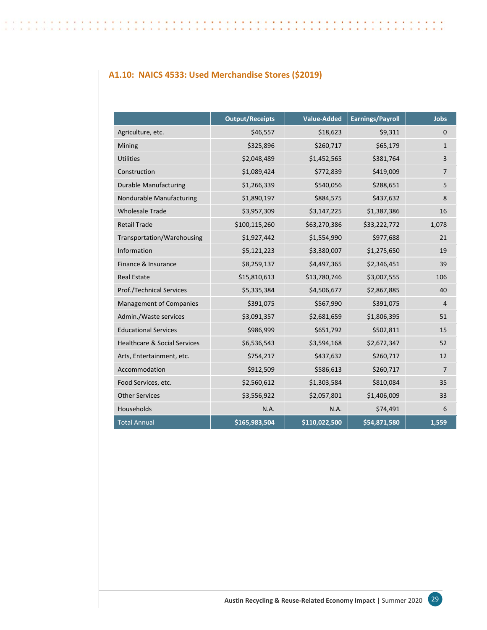## **A1.10: NAICS 4533: Used Merchandise Stores (\$2019)**

|                                         | <b>Output/Receipts</b> | <b>Value-Added</b> | <b>Earnings/Payroll</b> | <b>Jobs</b>    |
|-----------------------------------------|------------------------|--------------------|-------------------------|----------------|
| Agriculture, etc.                       | \$46,557               | \$18,623           | \$9,311                 | $\mathbf 0$    |
| Mining                                  | \$325,896              | \$260,717          | \$65,179                | $\mathbf{1}$   |
| <b>Utilities</b>                        | \$2,048,489            | \$1,452,565        | \$381,764               | 3              |
| Construction                            | \$1,089,424            | \$772,839          | \$419,009               | 7              |
| <b>Durable Manufacturing</b>            | \$1,266,339            | \$540,056          | \$288,651               | 5              |
| Nondurable Manufacturing                | \$1,890,197            | \$884,575          | \$437,632               | 8              |
| <b>Wholesale Trade</b>                  | \$3,957,309            | \$3,147,225        | \$1,387,386             | 16             |
| <b>Retail Trade</b>                     | \$100,115,260          | \$63,270,386       | \$33,222,772            | 1,078          |
| Transportation/Warehousing              | \$1,927,442            | \$1,554,990        | \$977,688               | 21             |
| Information                             | \$5,121,223            | \$3,380,007        | \$1,275,650             | 19             |
| Finance & Insurance                     | \$8,259,137            | \$4,497,365        | \$2,346,451             | 39             |
| <b>Real Estate</b>                      | \$15,810,613           | \$13,780,746       | \$3,007,555             | 106            |
| <b>Prof./Technical Services</b>         | \$5,335,384            | \$4,506,677        | \$2,867,885             | 40             |
| <b>Management of Companies</b>          | \$391,075              | \$567,990          | \$391,075               | $\overline{4}$ |
| Admin./Waste services                   | \$3,091,357            | \$2,681,659        | \$1,806,395             | 51             |
| <b>Educational Services</b>             | \$986,999              | \$651,792          | \$502,811               | 15             |
| <b>Healthcare &amp; Social Services</b> | \$6,536,543            | \$3,594,168        | \$2,672,347             | 52             |
| Arts, Entertainment, etc.               | \$754,217              | \$437,632          | \$260,717               | 12             |
| Accommodation                           | \$912,509              | \$586,613          | \$260,717               | $\overline{7}$ |
| Food Services, etc.                     | \$2,560,612            | \$1,303,584        | \$810,084               | 35             |
| <b>Other Services</b>                   | \$3,556,922            | \$2,057,801        | \$1,406,009             | 33             |
| Households                              | N.A.                   | N.A.               | \$74,491                | 6              |
| <b>Total Annual</b>                     | \$165,983,504          | \$110,022,500      | \$54,871,580            | 1,559          |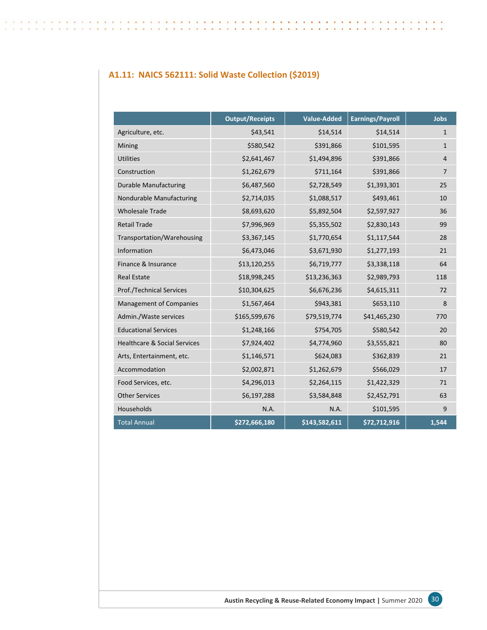## **A1.11: NAICS 562111: Solid Waste Collection (\$2019)**

|                                         | <b>Output/Receipts</b> | <b>Value-Added</b> | <b>Earnings/Payroll</b> | <b>Jobs</b>    |
|-----------------------------------------|------------------------|--------------------|-------------------------|----------------|
| Agriculture, etc.                       | \$43,541               | \$14,514           | \$14,514                | $\mathbf{1}$   |
| Mining                                  | \$580,542              | \$391,866          | \$101,595               | $\mathbf{1}$   |
| <b>Utilities</b>                        | \$2,641,467            | \$1,494,896        | \$391,866               | $\overline{4}$ |
| Construction                            | \$1,262,679            | \$711,164          | \$391,866               | 7              |
| <b>Durable Manufacturing</b>            | \$6,487,560            | \$2,728,549        | \$1,393,301             | 25             |
| Nondurable Manufacturing                | \$2,714,035            | \$1,088,517        | \$493,461               | 10             |
| <b>Wholesale Trade</b>                  | \$8,693,620            | \$5,892,504        | \$2,597,927             | 36             |
| <b>Retail Trade</b>                     | \$7,996,969            | \$5,355,502        | \$2,830,143             | 99             |
| Transportation/Warehousing              | \$3,367,145            | \$1,770,654        | \$1,117,544             | 28             |
| Information                             | \$6,473,046            | \$3,671,930        | \$1,277,193             | 21             |
| Finance & Insurance                     | \$13,120,255           | \$6,719,777        | \$3,338,118             | 64             |
| <b>Real Estate</b>                      | \$18,998,245           | \$13,236,363       | \$2,989,793             | 118            |
| Prof./Technical Services                | \$10,304,625           | \$6,676,236        | \$4,615,311             | 72             |
| <b>Management of Companies</b>          | \$1,567,464            | \$943,381          | \$653,110               | 8              |
| Admin./Waste services                   | \$165,599,676          | \$79,519,774       | \$41,465,230            | 770            |
| <b>Educational Services</b>             | \$1,248,166            | \$754,705          | \$580,542               | 20             |
| <b>Healthcare &amp; Social Services</b> | \$7,924,402            | \$4,774,960        | \$3,555,821             | 80             |
| Arts, Entertainment, etc.               | \$1,146,571            | \$624,083          | \$362,839               | 21             |
| Accommodation                           | \$2,002,871            | \$1,262,679        | \$566,029               | 17             |
| Food Services, etc.                     | \$4,296,013            | \$2,264,115        | \$1,422,329             | 71             |
| <b>Other Services</b>                   | \$6,197,288            | \$3,584,848        | \$2,452,791             | 63             |
| Households                              | N.A.                   | N.A.               | \$101,595               | 9              |
| <b>Total Annual</b>                     | \$272,666,180          | \$143,582,611      | \$72,712,916            | 1,544          |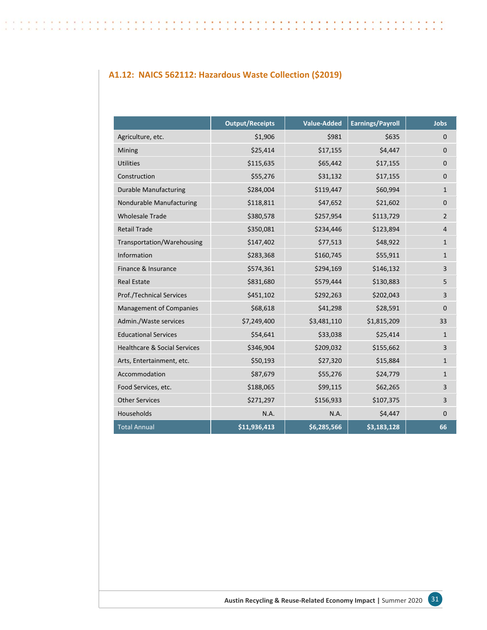## **A1.12: NAICS 562112: Hazardous Waste Collection (\$2019)**

|                                         | <b>Output/Receipts</b> | <b>Value-Added</b> | <b>Earnings/Payroll</b> | <b>Jobs</b>    |
|-----------------------------------------|------------------------|--------------------|-------------------------|----------------|
| Agriculture, etc.                       | \$1,906                | \$981              | \$635                   | $\mathbf 0$    |
| Mining                                  | \$25,414               | \$17,155           | \$4,447                 | $\mathbf 0$    |
| <b>Utilities</b>                        | \$115,635              | \$65,442           | \$17,155                | 0              |
| Construction                            | \$55,276               | \$31,132           | \$17,155                | $\mathbf 0$    |
| <b>Durable Manufacturing</b>            | \$284,004              | \$119,447          | \$60,994                | $\mathbf{1}$   |
| Nondurable Manufacturing                | \$118,811              | \$47,652           | \$21,602                | $\mathbf 0$    |
| <b>Wholesale Trade</b>                  | \$380,578              | \$257,954          | \$113,729               | $\overline{2}$ |
| <b>Retail Trade</b>                     | \$350,081              | \$234,446          | \$123,894               | $\overline{4}$ |
| Transportation/Warehousing              | \$147,402              | \$77,513           | \$48,922                | $\mathbf{1}$   |
| Information                             | \$283,368              | \$160,745          | \$55,911                | $\mathbf{1}$   |
| Finance & Insurance                     | \$574,361              | \$294,169          | \$146,132               | 3              |
| <b>Real Estate</b>                      | \$831,680              | \$579,444          | \$130,883               | 5              |
| <b>Prof./Technical Services</b>         | \$451,102              | \$292,263          | \$202,043               | 3              |
| <b>Management of Companies</b>          | \$68,618               | \$41,298           | \$28,591                | $\mathbf{0}$   |
| Admin./Waste services                   | \$7,249,400            | \$3,481,110        | \$1,815,209             | 33             |
| <b>Educational Services</b>             | \$54,641               | \$33,038           | \$25,414                | $\mathbf{1}$   |
| <b>Healthcare &amp; Social Services</b> | \$346,904              | \$209,032          | \$155,662               | 3              |
| Arts, Entertainment, etc.               | \$50,193               | \$27,320           | \$15,884                | $\mathbf{1}$   |
| Accommodation                           | \$87,679               | \$55,276           | \$24,779                | $\mathbf{1}$   |
| Food Services, etc.                     | \$188,065              | \$99,115           | \$62,265                | 3              |
| <b>Other Services</b>                   | \$271,297              | \$156,933          | \$107,375               | 3              |
| Households                              | N.A.                   | N.A.               | \$4,447                 | $\mathbf 0$    |
| <b>Total Annual</b>                     | \$11,936,413           | \$6,285,566        | \$3,183,128             | 66             |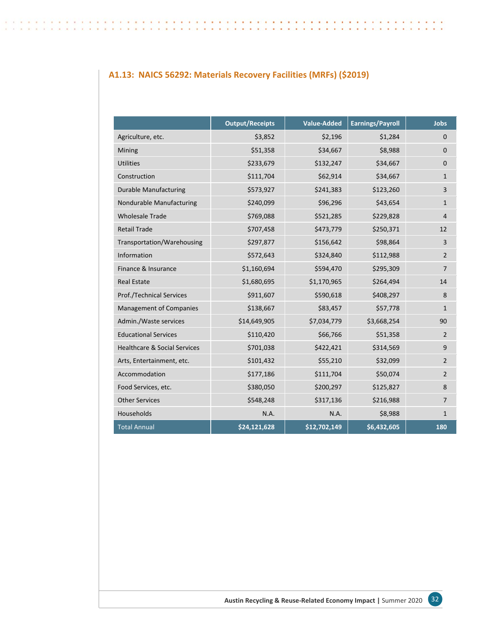## **A1.13: NAICS 56292: Materials Recovery Facilities (MRFs) (\$2019)**

|                                         | <b>Output/Receipts</b> | <b>Value-Added</b> | <b>Earnings/Payroll</b> | <b>Jobs</b>    |
|-----------------------------------------|------------------------|--------------------|-------------------------|----------------|
| Agriculture, etc.                       | \$3,852                | \$2,196            | \$1,284                 | $\mathbf{0}$   |
| Mining                                  | \$51,358               | \$34,667           | \$8,988                 | $\mathbf 0$    |
| <b>Utilities</b>                        | \$233,679              | \$132,247          | \$34,667                | $\mathbf{0}$   |
| Construction                            | \$111,704              | \$62,914           | \$34,667                | $\mathbf{1}$   |
| <b>Durable Manufacturing</b>            | \$573,927              | \$241,383          | \$123,260               | 3              |
| Nondurable Manufacturing                | \$240,099              | \$96,296           | \$43,654                | $\mathbf{1}$   |
| <b>Wholesale Trade</b>                  | \$769,088              | \$521,285          | \$229,828               | 4              |
| <b>Retail Trade</b>                     | \$707,458              | \$473,779          | \$250,371               | 12             |
| Transportation/Warehousing              | \$297,877              | \$156,642          | \$98,864                | 3              |
| Information                             | \$572,643              | \$324,840          | \$112,988               | $\overline{2}$ |
| Finance & Insurance                     | \$1,160,694            | \$594,470          | \$295,309               | $\overline{7}$ |
| <b>Real Estate</b>                      | \$1,680,695            | \$1,170,965        | \$264,494               | 14             |
| Prof./Technical Services                | \$911,607              | \$590,618          | \$408,297               | 8              |
| <b>Management of Companies</b>          | \$138,667              | \$83,457           | \$57,778                | $\mathbf{1}$   |
| Admin./Waste services                   | \$14,649,905           | \$7,034,779        | \$3,668,254             | 90             |
| <b>Educational Services</b>             | \$110,420              | \$66,766           | \$51,358                | $\overline{2}$ |
| <b>Healthcare &amp; Social Services</b> | \$701,038              | \$422,421          | \$314,569               | 9              |
| Arts, Entertainment, etc.               | \$101,432              | \$55,210           | \$32,099                | $\overline{2}$ |
| Accommodation                           | \$177,186              | \$111,704          | \$50,074                | $\overline{2}$ |
| Food Services, etc.                     | \$380,050              | \$200,297          | \$125,827               | 8              |
| <b>Other Services</b>                   | \$548,248              | \$317,136          | \$216,988               | 7              |
| Households                              | N.A.                   | N.A.               | \$8,988                 | $\mathbf{1}$   |
| <b>Total Annual</b>                     | \$24,121,628           | \$12,702,149       | \$6,432,605             | 180            |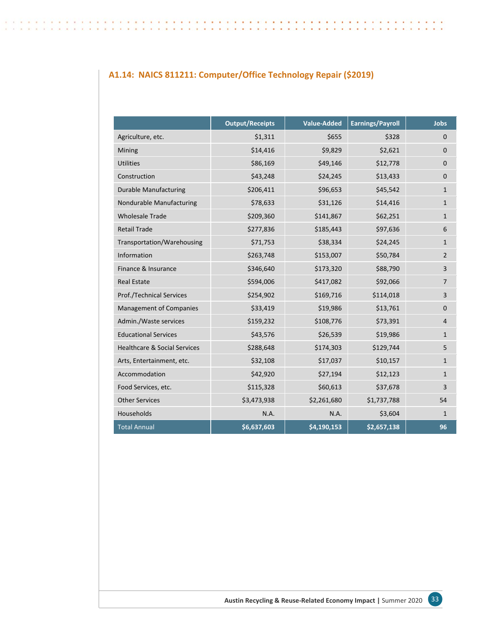## **A1.14: NAICS 811211: Computer/Office Technology Repair (\$2019)**

|                                         | <b>Output/Receipts</b> | <b>Value-Added</b> | <b>Earnings/Payroll</b> | <b>Jobs</b>    |
|-----------------------------------------|------------------------|--------------------|-------------------------|----------------|
| Agriculture, etc.                       | \$1,311                | \$655              | \$328                   | $\mathbf{0}$   |
| Mining                                  | \$14,416               | \$9,829            | \$2,621                 | $\mathbf 0$    |
| <b>Utilities</b>                        | \$86,169               | \$49,146           | \$12,778                | $\mathbf{0}$   |
| Construction                            | \$43,248               | \$24,245           | \$13,433                | $\mathbf 0$    |
| <b>Durable Manufacturing</b>            | \$206,411              | \$96,653           | \$45,542                | $\mathbf{1}$   |
| Nondurable Manufacturing                | \$78,633               | \$31,126           | \$14,416                | $\mathbf{1}$   |
| <b>Wholesale Trade</b>                  | \$209,360              | \$141,867          | \$62,251                | $\mathbf{1}$   |
| <b>Retail Trade</b>                     | \$277,836              | \$185,443          | \$97,636                | 6              |
| Transportation/Warehousing              | \$71,753               | \$38,334           | \$24,245                | $\mathbf{1}$   |
| Information                             | \$263,748              | \$153,007          | \$50,784                | $\overline{2}$ |
| Finance & Insurance                     | \$346,640              | \$173,320          | \$88,790                | 3              |
| <b>Real Estate</b>                      | \$594,006              | \$417,082          | \$92,066                | $\overline{7}$ |
| <b>Prof./Technical Services</b>         | \$254,902              | \$169,716          | \$114,018               | 3              |
| <b>Management of Companies</b>          | \$33,419               | \$19,986           | \$13,761                | $\mathbf{0}$   |
| Admin./Waste services                   | \$159,232              | \$108,776          | \$73,391                | $\overline{4}$ |
| <b>Educational Services</b>             | \$43,576               | \$26,539           | \$19,986                | $\mathbf{1}$   |
| <b>Healthcare &amp; Social Services</b> | \$288,648              | \$174,303          | \$129,744               | 5              |
| Arts, Entertainment, etc.               | \$32,108               | \$17,037           | \$10,157                | $\mathbf{1}$   |
| Accommodation                           | \$42,920               | \$27,194           | \$12,123                | $\mathbf{1}$   |
| Food Services, etc.                     | \$115,328              | \$60,613           | \$37,678                | 3              |
| <b>Other Services</b>                   | \$3,473,938            | \$2,261,680        | \$1,737,788             | 54             |
| Households                              | N.A.                   | N.A.               | \$3,604                 | $\mathbf{1}$   |
| <b>Total Annual</b>                     | \$6,637,603            | \$4,190,153        | \$2,657,138             | 96             |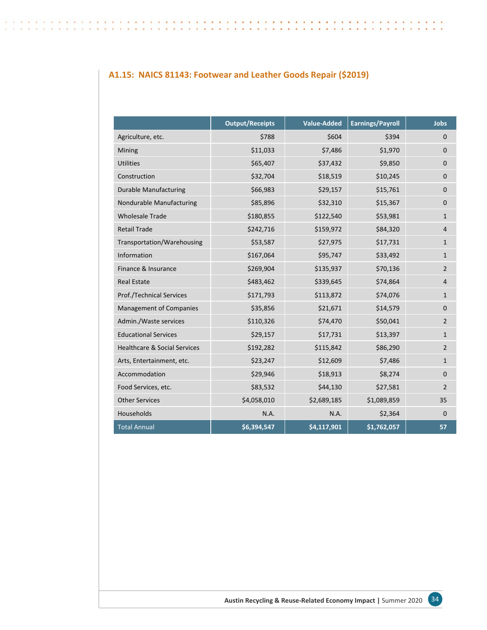## **A1.15: NAICS 81143: Footwear and Leather Goods Repair (\$2019)**

|                                         | <b>Output/Receipts</b> | <b>Value-Added</b> | <b>Earnings/Payroll</b> | <b>Jobs</b>    |
|-----------------------------------------|------------------------|--------------------|-------------------------|----------------|
| Agriculture, etc.                       | \$788                  | \$604              | \$394                   | $\mathbf{0}$   |
| Mining                                  | \$11,033               | \$7,486            | \$1,970                 | $\mathbf 0$    |
| <b>Utilities</b>                        | \$65,407               | \$37,432           | \$9,850                 | 0              |
| Construction                            | \$32,704               | \$18,519           | \$10,245                | $\mathbf 0$    |
| <b>Durable Manufacturing</b>            | \$66,983               | \$29,157           | \$15,761                | $\pmb{0}$      |
| Nondurable Manufacturing                | \$85,896               | \$32,310           | \$15,367                | $\mathbf 0$    |
| <b>Wholesale Trade</b>                  | \$180,855              | \$122,540          | \$53,981                | $\mathbf{1}$   |
| <b>Retail Trade</b>                     | \$242,716              | \$159,972          | \$84,320                | $\overline{4}$ |
| Transportation/Warehousing              | \$53,587               | \$27,975           | \$17,731                | $\mathbf{1}$   |
| Information                             | \$167,064              | \$95,747           | \$33,492                | $\mathbf{1}$   |
| Finance & Insurance                     | \$269,904              | \$135,937          | \$70,136                | $\overline{2}$ |
| <b>Real Estate</b>                      | \$483,462              | \$339,645          | \$74,864                | $\overline{4}$ |
| <b>Prof./Technical Services</b>         | \$171,793              | \$113,872          | \$74,076                | $\mathbf{1}$   |
| <b>Management of Companies</b>          | \$35,856               | \$21,671           | \$14,579                | $\mathbf 0$    |
| Admin./Waste services                   | \$110,326              | \$74,470           | \$50,041                | $\overline{2}$ |
| <b>Educational Services</b>             | \$29,157               | \$17,731           | \$13,397                | $\mathbf{1}$   |
| <b>Healthcare &amp; Social Services</b> | \$192,282              | \$115,842          | \$86,290                | $\overline{2}$ |
| Arts, Entertainment, etc.               | \$23,247               | \$12,609           | \$7,486                 | $\mathbf{1}$   |
| Accommodation                           | \$29,946               | \$18,913           | \$8,274                 | $\Omega$       |
| Food Services, etc.                     | \$83,532               | \$44,130           | \$27,581                | $\overline{2}$ |
| <b>Other Services</b>                   | \$4,058,010            | \$2,689,185        | \$1,089,859             | 35             |
| Households                              | N.A.                   | N.A.               | \$2,364                 | $\mathbf 0$    |
| <b>Total Annual</b>                     | \$6,394,547            | \$4,117,901        | \$1,762,057             | 57             |